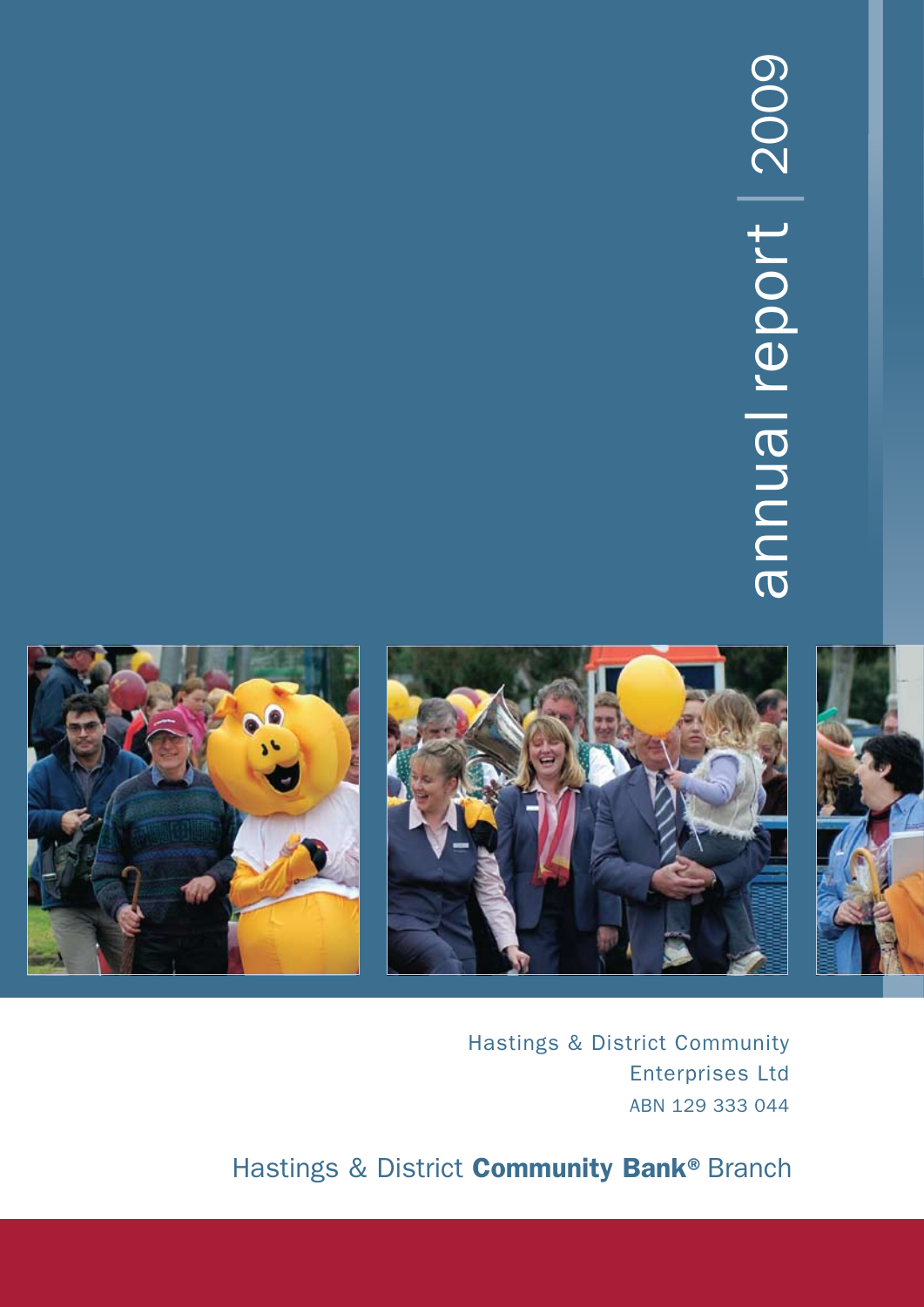# annual report | 2009 annual report | 2009



Hastings & District Community Enterprises Ltd ABN 129 333 044

Hastings & District **Community Bank®** Branch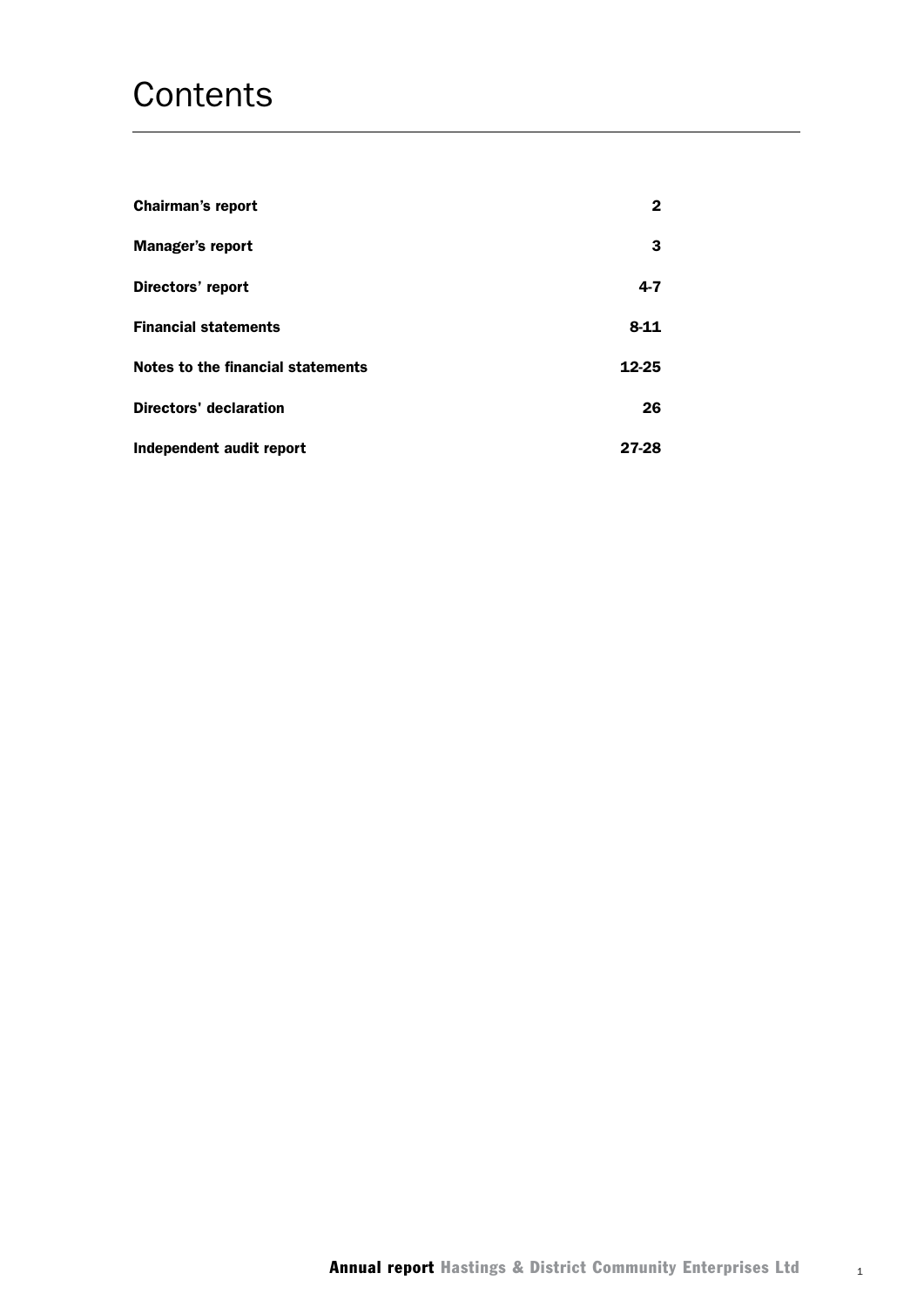## **Contents**

| <b>Chairman's report</b>          | 2        |
|-----------------------------------|----------|
| <b>Manager's report</b>           | 3        |
| Directors' report                 | $4 - 7$  |
| <b>Financial statements</b>       | $8 - 11$ |
| Notes to the financial statements | 12-25    |
| <b>Directors' declaration</b>     | 26       |
| Independent audit report          | 27-28    |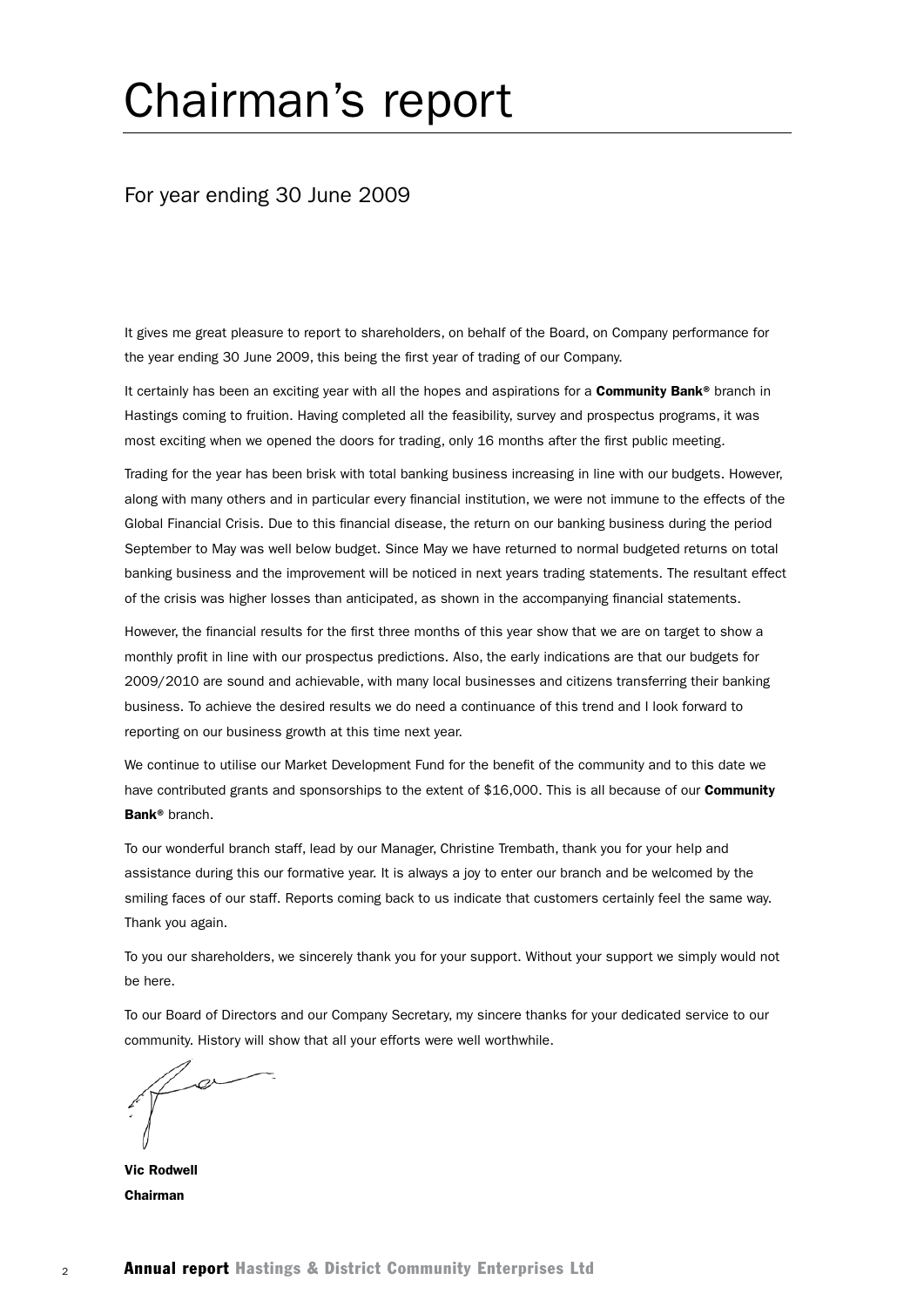# Chairman's report

#### For year ending 30 June 2009

It gives me great pleasure to report to shareholders, on behalf of the Board, on Company performance for the year ending 30 June 2009, this being the first year of trading of our Company.

It certainly has been an exciting year with all the hopes and aspirations for a Community Bank® branch in Hastings coming to fruition. Having completed all the feasibility, survey and prospectus programs, it was most exciting when we opened the doors for trading, only 16 months after the first public meeting.

Trading for the year has been brisk with total banking business increasing in line with our budgets. However, along with many others and in particular every financial institution, we were not immune to the effects of the Global Financial Crisis. Due to this financial disease, the return on our banking business during the period September to May was well below budget. Since May we have returned to normal budgeted returns on total banking business and the improvement will be noticed in next years trading statements. The resultant effect of the crisis was higher losses than anticipated, as shown in the accompanying financial statements.

However, the financial results for the first three months of this year show that we are on target to show a monthly profit in line with our prospectus predictions. Also, the early indications are that our budgets for 2009/2010 are sound and achievable, with many local businesses and citizens transferring their banking business. To achieve the desired results we do need a continuance of this trend and I look forward to reporting on our business growth at this time next year.

We continue to utilise our Market Development Fund for the benefit of the community and to this date we have contributed grants and sponsorships to the extent of \$16,000. This is all because of our Community Bank® branch.

To our wonderful branch staff, lead by our Manager, Christine Trembath, thank you for your help and assistance during this our formative year. It is always a joy to enter our branch and be welcomed by the smiling faces of our staff. Reports coming back to us indicate that customers certainly feel the same way. Thank you again.

To you our shareholders, we sincerely thank you for your support. Without your support we simply would not be here.

To our Board of Directors and our Company Secretary, my sincere thanks for your dedicated service to our community. History will show that all your efforts were well worthwhile.

Vic Rodwell Chairman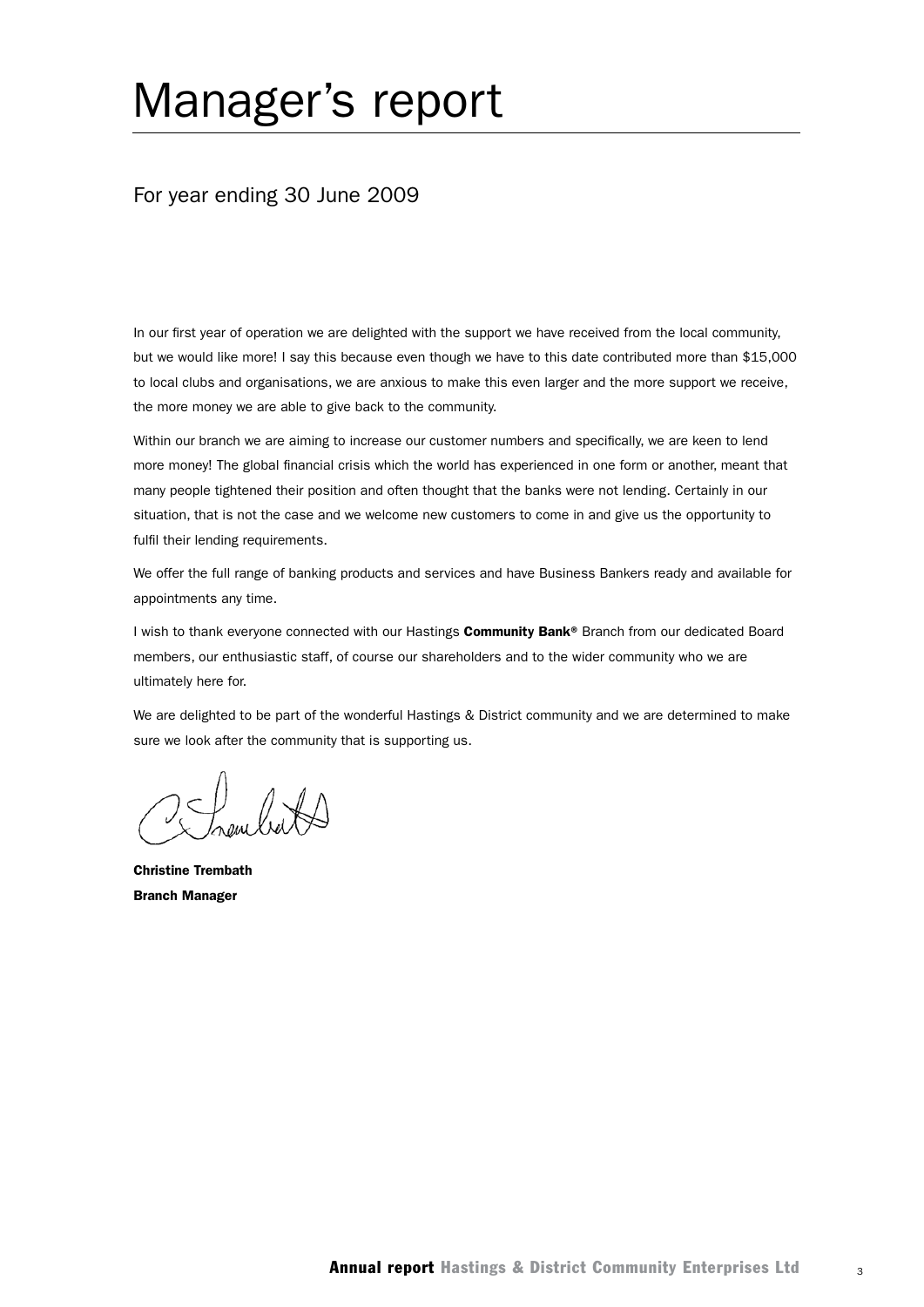# Manager's report

#### For year ending 30 June 2009

In our first year of operation we are delighted with the support we have received from the local community, but we would like more! I say this because even though we have to this date contributed more than \$15,000 to local clubs and organisations, we are anxious to make this even larger and the more support we receive, the more money we are able to give back to the community.

Within our branch we are aiming to increase our customer numbers and specifically, we are keen to lend more money! The global financial crisis which the world has experienced in one form or another, meant that many people tightened their position and often thought that the banks were not lending. Certainly in our situation, that is not the case and we welcome new customers to come in and give us the opportunity to fulfil their lending requirements.

We offer the full range of banking products and services and have Business Bankers ready and available for appointments any time.

I wish to thank everyone connected with our Hastings Community Bank® Branch from our dedicated Board members, our enthusiastic staff, of course our shareholders and to the wider community who we are ultimately here for.

We are delighted to be part of the wonderful Hastings & District community and we are determined to make sure we look after the community that is supporting us.

Christine Trembath Branch Manager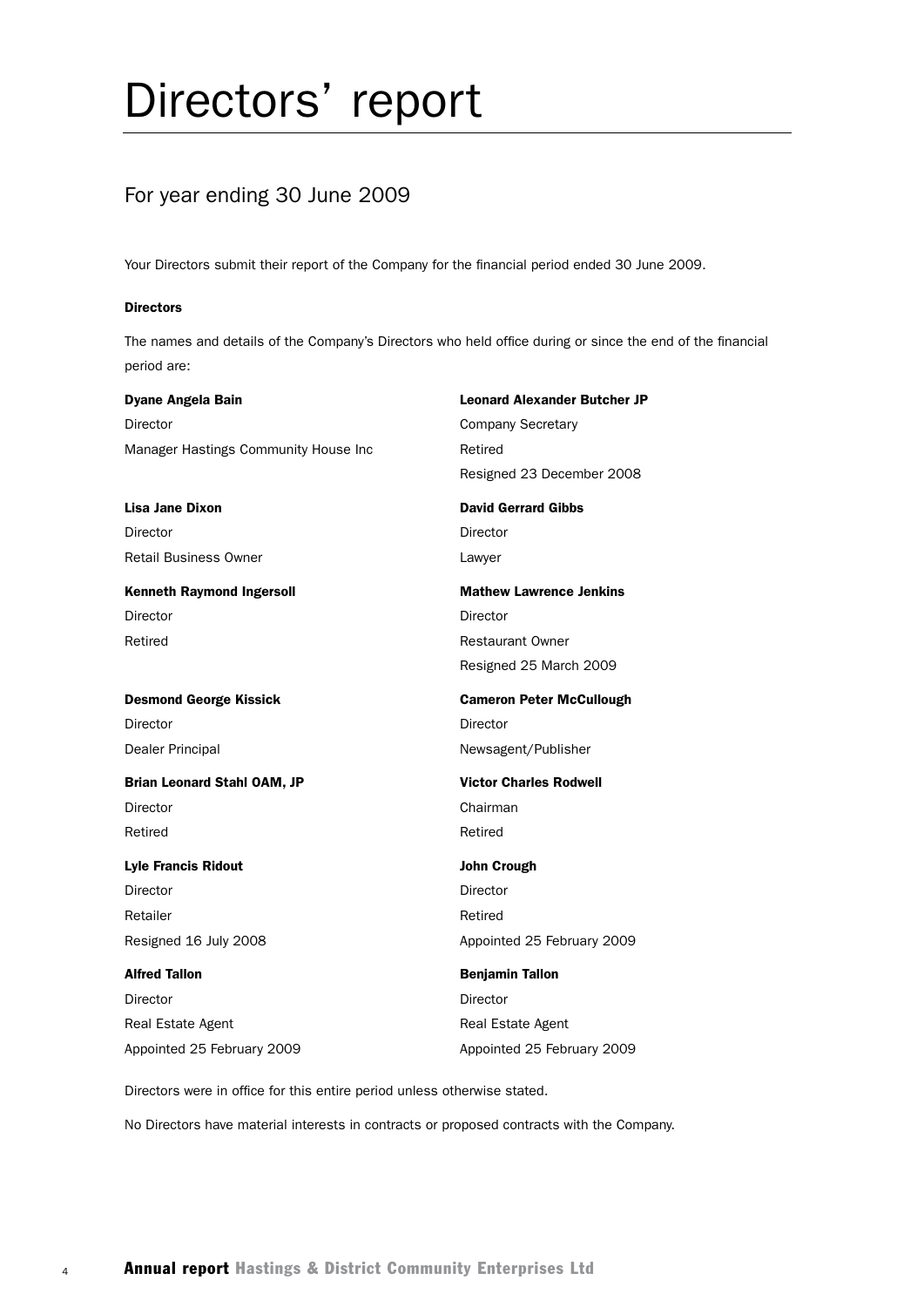# Directors' report

## For year ending 30 June 2009

Your Directors submit their report of the Company for the financial period ended 30 June 2009.

#### **Directors**

The names and details of the Company's Directors who held office during or since the end of the financial period are:

Dyane Angela Bain Leonard Alexander Butcher JP Director **Company Secretary** Manager Hastings Community House Inc Retired Resigned 23 December 2008 Lisa Jane Dixon **David Gerrard Gibbs** David Gerrard Gibbs Director **Director** Director Retail Business Owner **Lawyer** Kenneth Raymond Ingersoll **Mathew Lawrence Jenkins** Director Director Retired **Restaurant Owner**  Resigned 25 March 2009 Desmond George Kissick Cameron Peter McCullough Director **Director** Director Dealer Principal Newsagent/Publisher Brian Leonard Stahl OAM, JP Victor Charles Rodwell Director **Chairman** Retired **Retired Retired Lyle Francis Ridout Contract Contract Contract Contract Contract Contract Contract Contract Contract Contract Contract Contract Contract Contract Contract Contract Contract Contract Contract Contract Contract Contract C** Director **Director** Director Retailer **Retailer Retailer Retailer Retailer Retailer** Resigned 16 July 2008 **Appointed 25 February 2009** Alfred Tallon **Benjamin Tallon** Director **Director** Director Real Estate Agent **Real Estate Agent** Appointed 25 February 2009 Appointed 25 February 2009

Directors were in office for this entire period unless otherwise stated.

No Directors have material interests in contracts or proposed contracts with the Company.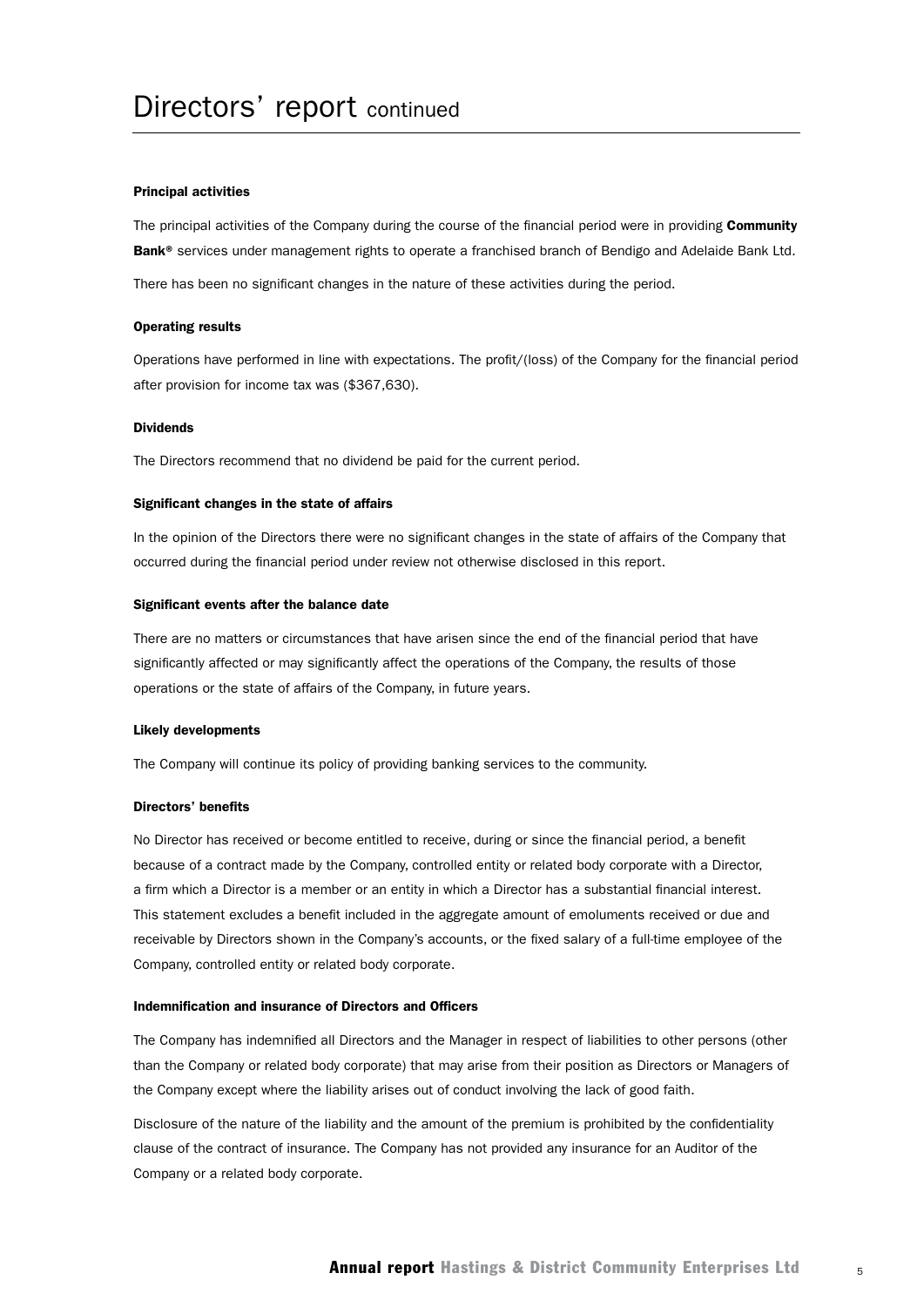#### Principal activities

The principal activities of the Company during the course of the financial period were in providing Community Bank<sup>®</sup> services under management rights to operate a franchised branch of Bendigo and Adelaide Bank Ltd.

There has been no significant changes in the nature of these activities during the period.

#### Operating results

Operations have performed in line with expectations. The profit/(loss) of the Company for the financial period after provision for income tax was (\$367,630).

#### Dividends

The Directors recommend that no dividend be paid for the current period.

#### Significant changes in the state of affairs

In the opinion of the Directors there were no significant changes in the state of affairs of the Company that occurred during the financial period under review not otherwise disclosed in this report.

#### Significant events after the balance date

There are no matters or circumstances that have arisen since the end of the financial period that have significantly affected or may significantly affect the operations of the Company, the results of those operations or the state of affairs of the Company, in future years.

#### Likely developments

The Company will continue its policy of providing banking services to the community.

#### Directors' benefits

No Director has received or become entitled to receive, during or since the financial period, a benefit because of a contract made by the Company, controlled entity or related body corporate with a Director, a firm which a Director is a member or an entity in which a Director has a substantial financial interest. This statement excludes a benefit included in the aggregate amount of emoluments received or due and receivable by Directors shown in the Company's accounts, or the fixed salary of a full-time employee of the Company, controlled entity or related body corporate.

#### Indemnification and insurance of Directors and Officers

The Company has indemnified all Directors and the Manager in respect of liabilities to other persons (other than the Company or related body corporate) that may arise from their position as Directors or Managers of the Company except where the liability arises out of conduct involving the lack of good faith.

Disclosure of the nature of the liability and the amount of the premium is prohibited by the confidentiality clause of the contract of insurance. The Company has not provided any insurance for an Auditor of the Company or a related body corporate.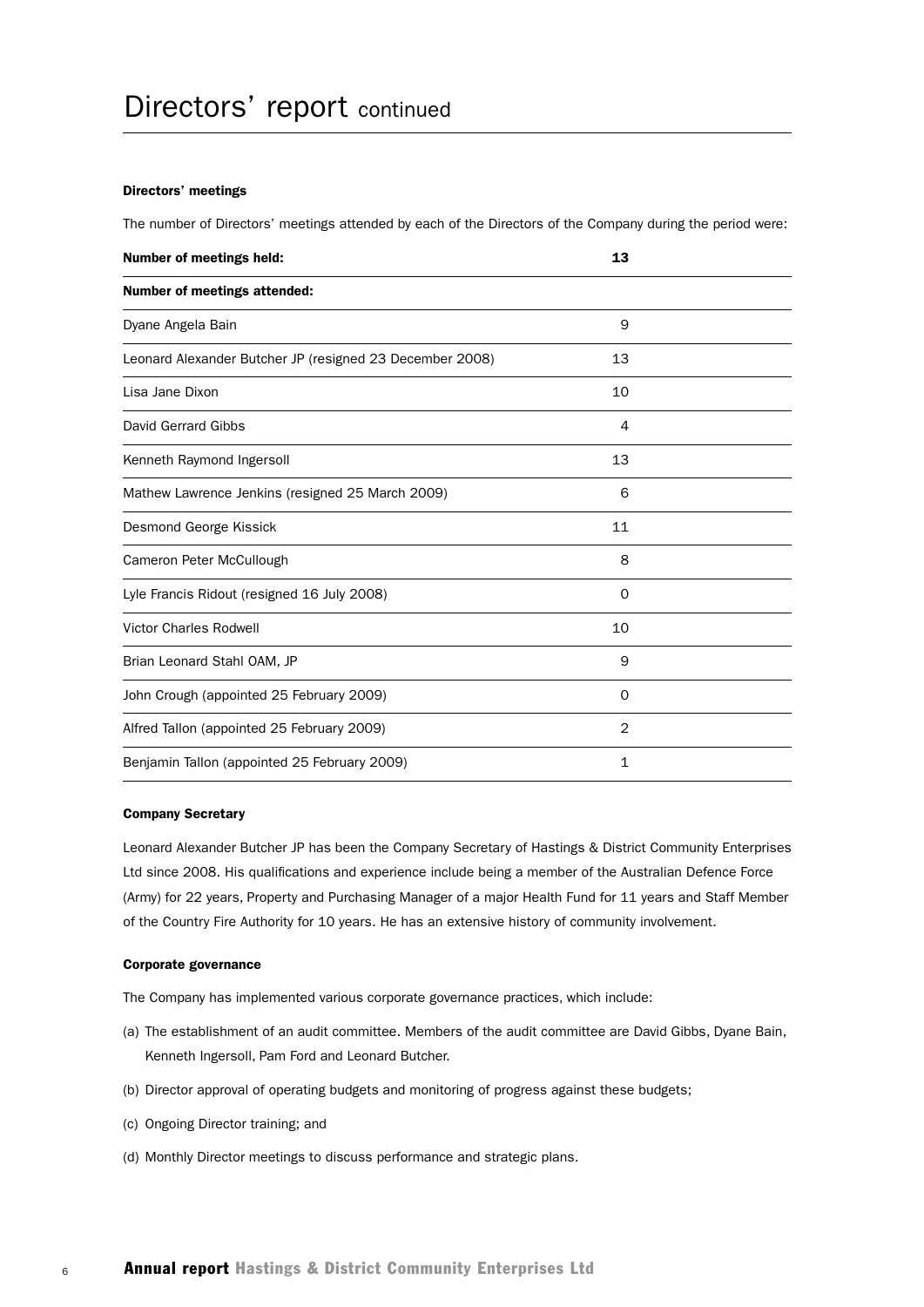#### Directors' meetings

The number of Directors' meetings attended by each of the Directors of the Company during the period were:

| <b>Number of meetings held:</b>                          | 13       |  |
|----------------------------------------------------------|----------|--|
| <b>Number of meetings attended:</b>                      |          |  |
| Dyane Angela Bain                                        | 9        |  |
| Leonard Alexander Butcher JP (resigned 23 December 2008) | 13       |  |
| Lisa Jane Dixon                                          | 10       |  |
| David Gerrard Gibbs                                      | 4        |  |
| Kenneth Raymond Ingersoll                                | 13       |  |
| Mathew Lawrence Jenkins (resigned 25 March 2009)         | 6        |  |
| Desmond George Kissick                                   | 11       |  |
| Cameron Peter McCullough                                 | 8        |  |
| Lyle Francis Ridout (resigned 16 July 2008)              | $\Omega$ |  |
| <b>Victor Charles Rodwell</b>                            | 10       |  |
| Brian Leonard Stahl OAM, JP                              | 9        |  |
| John Crough (appointed 25 February 2009)                 | $\Omega$ |  |
| Alfred Tallon (appointed 25 February 2009)               | 2        |  |
| Benjamin Tallon (appointed 25 February 2009)             | 1        |  |

#### Company Secretary

Leonard Alexander Butcher JP has been the Company Secretary of Hastings & District Community Enterprises Ltd since 2008. His qualifications and experience include being a member of the Australian Defence Force (Army) for 22 years, Property and Purchasing Manager of a major Health Fund for 11 years and Staff Member of the Country Fire Authority for 10 years. He has an extensive history of community involvement.

#### Corporate governance

The Company has implemented various corporate governance practices, which include:

- (a) The establishment of an audit committee. Members of the audit committee are David Gibbs, Dyane Bain, Kenneth Ingersoll, Pam Ford and Leonard Butcher.
- (b) Director approval of operating budgets and monitoring of progress against these budgets;
- (c) Ongoing Director training; and
- (d) Monthly Director meetings to discuss performance and strategic plans.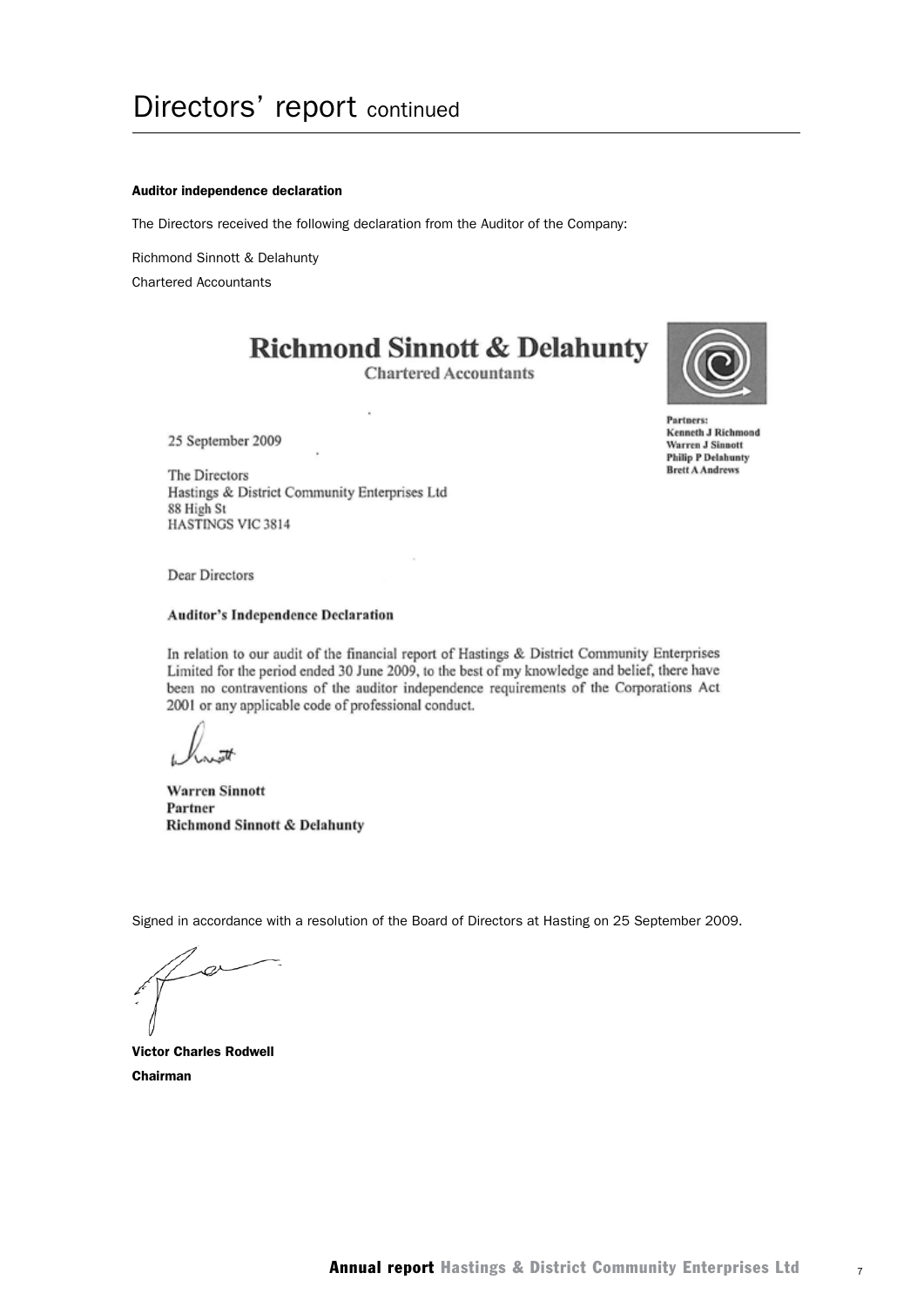#### Auditor independence declaration

The Directors received the following declaration from the Auditor of the Company:

Richmond Sinnott & Delahunty

Chartered Accountants

## **Richmond Sinnott & Delahunty**

**Chartered Accountants** 



Partners: **Kenneth J Richmond Warren J Sinnott Philip P Delahunty Brett A Andrews** 

25 September 2009

The Directors Hastings & District Community Enterprises Ltd 88 High St **HASTINGS VIC 3814** 

Dear Directors

#### **Auditor's Independence Declaration**

In relation to our audit of the financial report of Hastings & District Community Enterprises Limited for the period ended 30 June 2009, to the best of my knowledge and belief, there have been no contraventions of the auditor independence requirements of the Corporations Act 2001 or any applicable code of professional conduct.

**Warren Sinnott** Partner **Richmond Sinnott & Delahunty** 

Signed in accordance with a resolution of the Board of Directors at Hasting on 25 September 2009.

Victor Charles Rodwell Chairman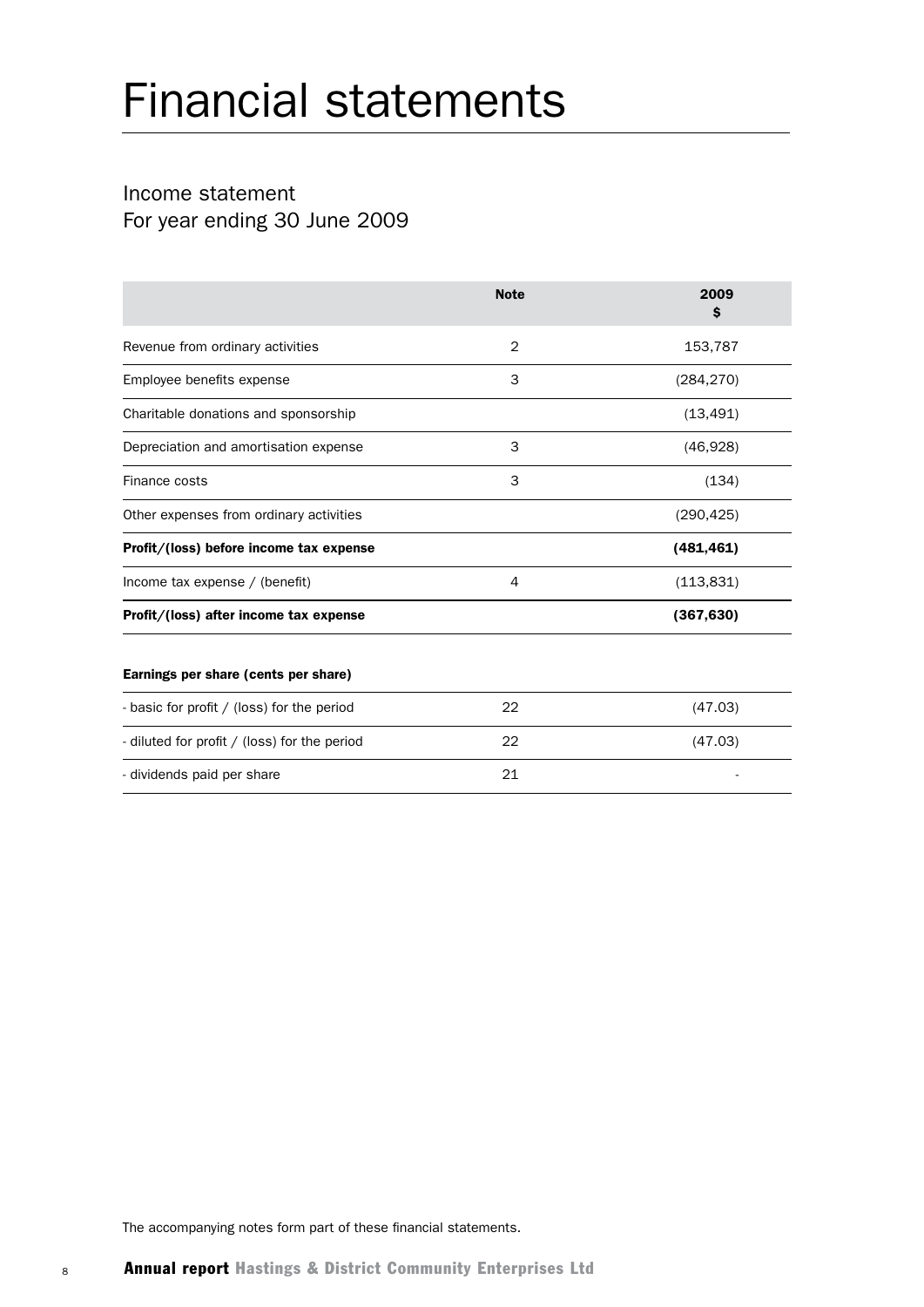## Income statement For year ending 30 June 2009

|                                              | <b>Note</b> | 2009<br>S  |
|----------------------------------------------|-------------|------------|
| Revenue from ordinary activities             | 2           | 153,787    |
| Employee benefits expense                    | 3           | (284, 270) |
| Charitable donations and sponsorship         |             | (13, 491)  |
| Depreciation and amortisation expense        | 3           | (46, 928)  |
| Finance costs                                | 3           | (134)      |
| Other expenses from ordinary activities      |             | (290, 425) |
| Profit/(loss) before income tax expense      |             | (481, 461) |
| Income tax expense / (benefit)               | 4           | (113, 831) |
| Profit/(loss) after income tax expense       |             | (367, 630) |
| Earnings per share (cents per share)         |             |            |
| - basic for profit / (loss) for the period   | 22          | (47.03)    |
| - diluted for profit / (loss) for the period | 22          | (47.03)    |
| - dividends paid per share                   |             |            |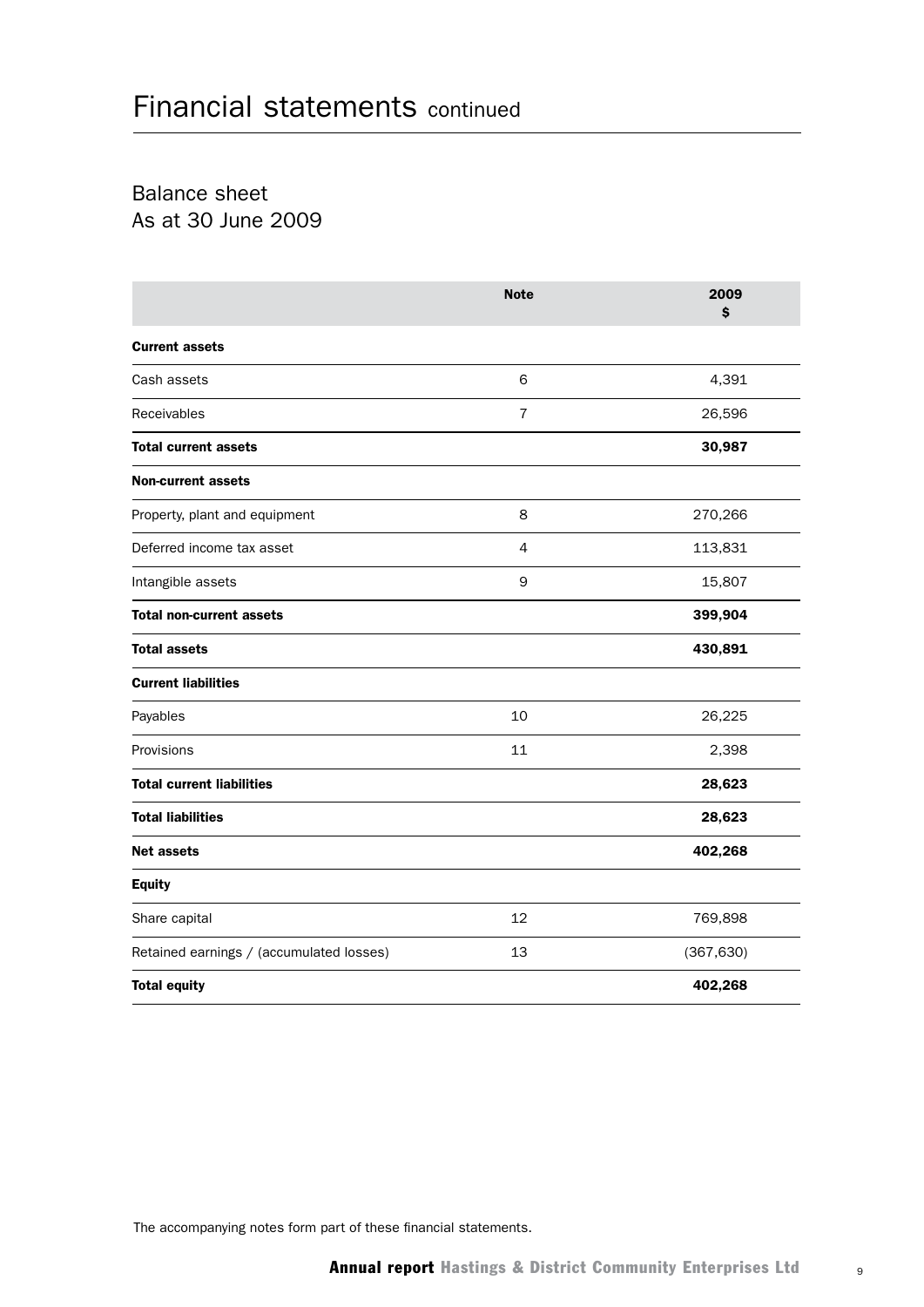Balance sheet As at 30 June 2009

|                                          | <b>Note</b>    | 2009<br>\$ |
|------------------------------------------|----------------|------------|
| <b>Current assets</b>                    |                |            |
| Cash assets                              | 6              | 4,391      |
| Receivables                              | $\overline{7}$ | 26,596     |
| <b>Total current assets</b>              |                | 30,987     |
| <b>Non-current assets</b>                |                |            |
| Property, plant and equipment            | 8              | 270,266    |
| Deferred income tax asset                | $\overline{4}$ | 113,831    |
| Intangible assets                        | 9              | 15,807     |
| <b>Total non-current assets</b>          |                | 399,904    |
| <b>Total assets</b>                      |                | 430,891    |
| <b>Current liabilities</b>               |                |            |
| Payables                                 | 10             | 26,225     |
| Provisions                               | 11             | 2,398      |
| <b>Total current liabilities</b>         |                | 28,623     |
| <b>Total liabilities</b>                 |                | 28,623     |
| <b>Net assets</b>                        |                | 402,268    |
| <b>Equity</b>                            |                |            |
| Share capital                            | 12             | 769,898    |
| Retained earnings / (accumulated losses) | 13             | (367, 630) |
| <b>Total equity</b>                      |                | 402,268    |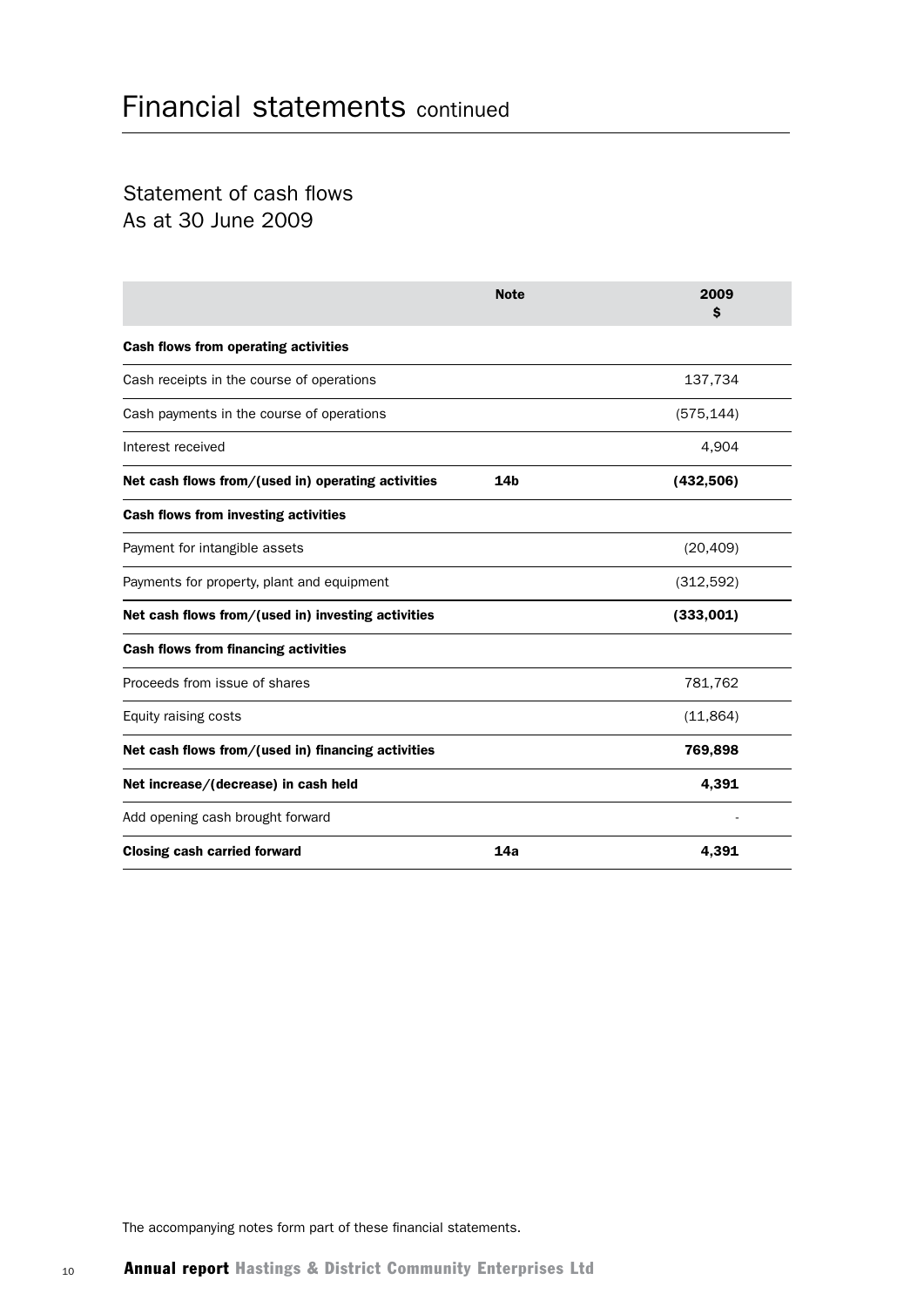## Statement of cash flows As at 30 June 2009

|                                                    | <b>Note</b>     | 2009<br>S  |
|----------------------------------------------------|-----------------|------------|
| Cash flows from operating activities               |                 |            |
| Cash receipts in the course of operations          |                 | 137,734    |
| Cash payments in the course of operations          |                 | (575, 144) |
| Interest received                                  |                 | 4,904      |
| Net cash flows from/(used in) operating activities | 14 <sub>b</sub> | (432,506)  |
| Cash flows from investing activities               |                 |            |
| Payment for intangible assets                      |                 | (20, 409)  |
| Payments for property, plant and equipment         |                 | (312, 592) |
| Net cash flows from/(used in) investing activities |                 | (333,001)  |
| <b>Cash flows from financing activities</b>        |                 |            |
| Proceeds from issue of shares                      |                 | 781,762    |
| Equity raising costs                               |                 | (11, 864)  |
| Net cash flows from/(used in) financing activities |                 | 769,898    |
| Net increase/(decrease) in cash held               |                 | 4,391      |
| Add opening cash brought forward                   |                 |            |
| <b>Closing cash carried forward</b>                | 14a             | 4,391      |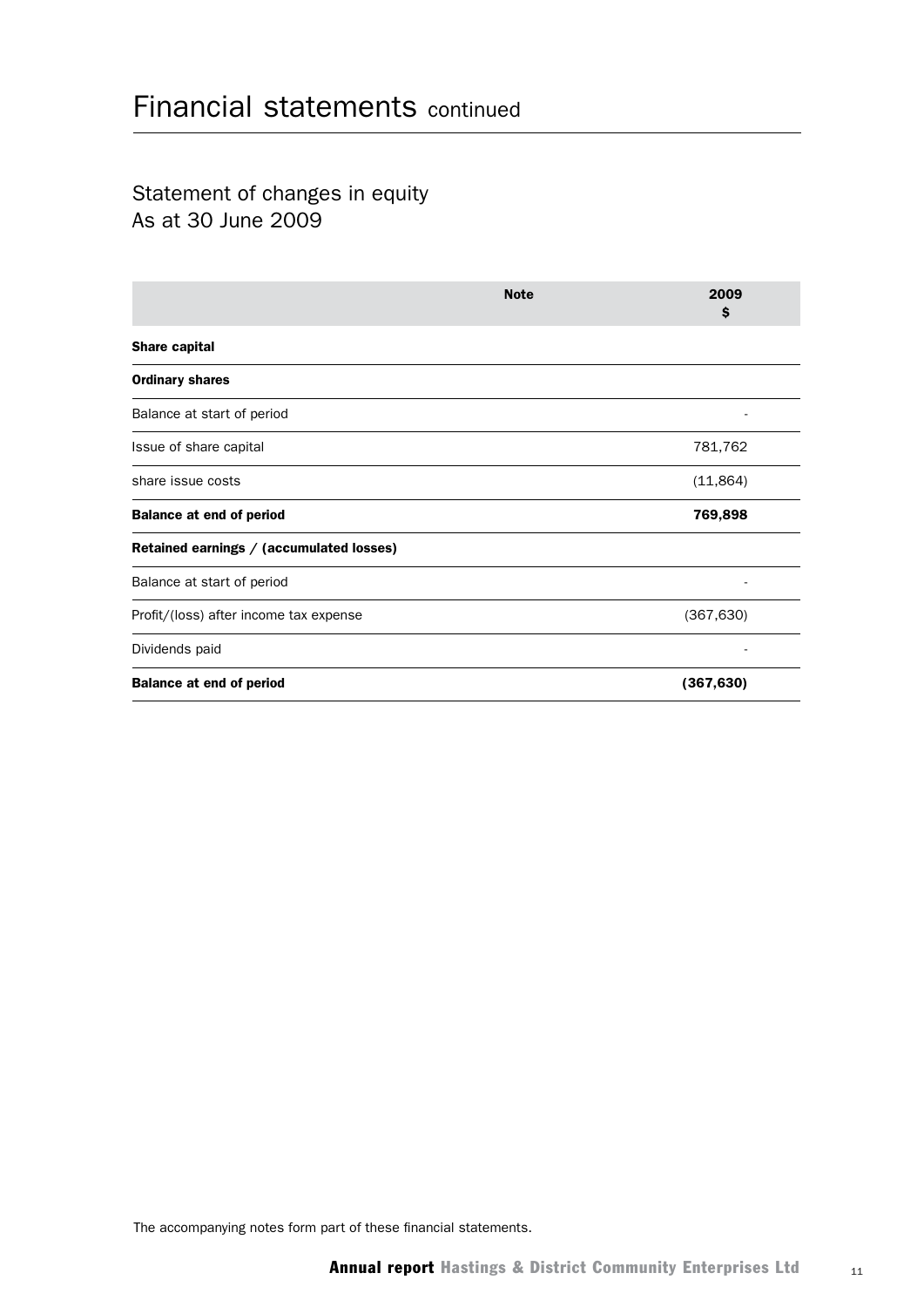## Statement of changes in equity As at 30 June 2009

|                                          | <b>Note</b> | 2009<br>\$ |
|------------------------------------------|-------------|------------|
| Share capital                            |             |            |
| <b>Ordinary shares</b>                   |             |            |
| Balance at start of period               |             |            |
| Issue of share capital                   |             | 781,762    |
| share issue costs                        |             | (11, 864)  |
| <b>Balance at end of period</b>          |             | 769,898    |
| Retained earnings / (accumulated losses) |             |            |
| Balance at start of period               |             |            |
| Profit/(loss) after income tax expense   |             | (367, 630) |
| Dividends paid                           |             |            |
| <b>Balance at end of period</b>          |             | (367, 630) |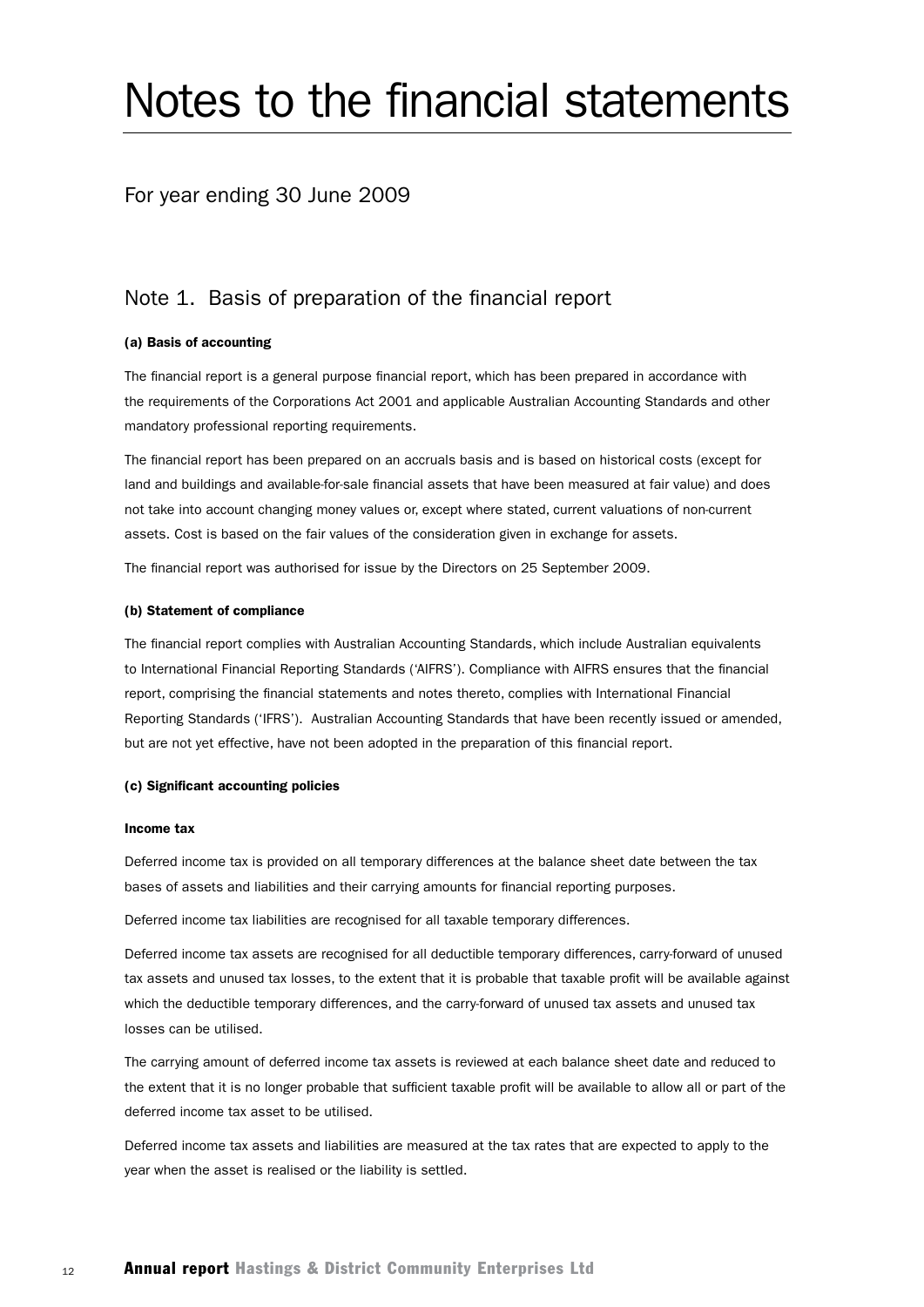# Notes to the financial statements

#### For year ending 30 June 2009

#### Note 1. Basis of preparation of the financial report

#### (a) Basis of accounting

The financial report is a general purpose financial report, which has been prepared in accordance with the requirements of the Corporations Act 2001 and applicable Australian Accounting Standards and other mandatory professional reporting requirements.

The financial report has been prepared on an accruals basis and is based on historical costs (except for land and buildings and available-for-sale financial assets that have been measured at fair value) and does not take into account changing money values or, except where stated, current valuations of non-current assets. Cost is based on the fair values of the consideration given in exchange for assets.

The financial report was authorised for issue by the Directors on 25 September 2009.

#### (b) Statement of compliance

The financial report complies with Australian Accounting Standards, which include Australian equivalents to International Financial Reporting Standards ('AIFRS'). Compliance with AIFRS ensures that the financial report, comprising the financial statements and notes thereto, complies with International Financial Reporting Standards ('IFRS'). Australian Accounting Standards that have been recently issued or amended, but are not yet effective, have not been adopted in the preparation of this financial report.

#### (c) Significant accounting policies

#### Income tax

Deferred income tax is provided on all temporary differences at the balance sheet date between the tax bases of assets and liabilities and their carrying amounts for financial reporting purposes.

Deferred income tax liabilities are recognised for all taxable temporary differences.

Deferred income tax assets are recognised for all deductible temporary differences, carry-forward of unused tax assets and unused tax losses, to the extent that it is probable that taxable profit will be available against which the deductible temporary differences, and the carry-forward of unused tax assets and unused tax losses can be utilised.

The carrying amount of deferred income tax assets is reviewed at each balance sheet date and reduced to the extent that it is no longer probable that sufficient taxable profit will be available to allow all or part of the deferred income tax asset to be utilised.

Deferred income tax assets and liabilities are measured at the tax rates that are expected to apply to the year when the asset is realised or the liability is settled.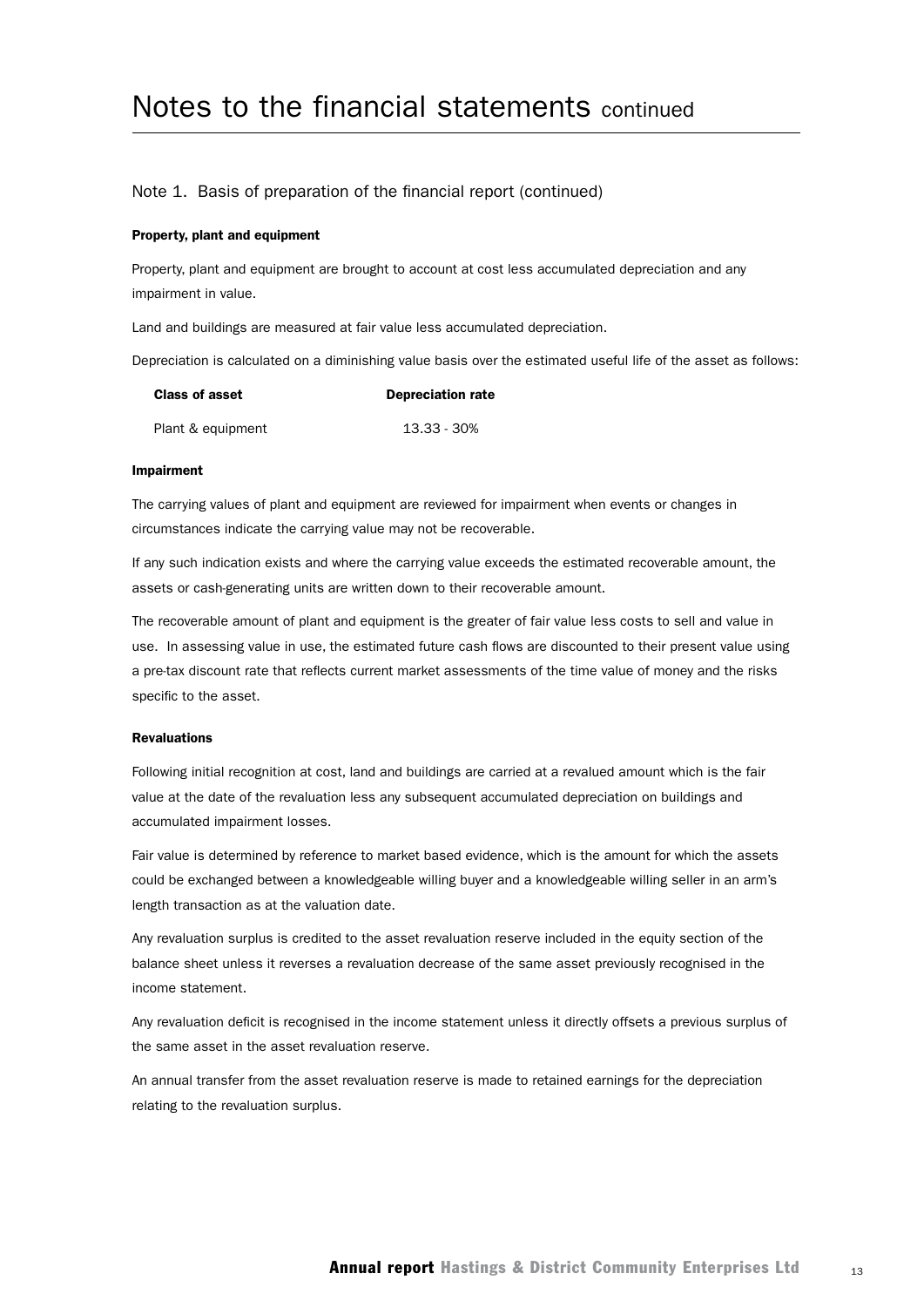#### Note 1. Basis of preparation of the financial report (continued)

#### Property, plant and equipment

Property, plant and equipment are brought to account at cost less accumulated depreciation and any impairment in value.

Land and buildings are measured at fair value less accumulated depreciation.

Depreciation is calculated on a diminishing value basis over the estimated useful life of the asset as follows:

| <b>Class of asset</b> | <b>Depreciation rate</b> |
|-----------------------|--------------------------|
| Plant & equipment     | 13.33 - 30%              |

#### Impairment

The carrying values of plant and equipment are reviewed for impairment when events or changes in circumstances indicate the carrying value may not be recoverable.

If any such indication exists and where the carrying value exceeds the estimated recoverable amount, the assets or cash-generating units are written down to their recoverable amount.

The recoverable amount of plant and equipment is the greater of fair value less costs to sell and value in use. In assessing value in use, the estimated future cash flows are discounted to their present value using a pre-tax discount rate that reflects current market assessments of the time value of money and the risks specific to the asset.

#### Revaluations

Following initial recognition at cost, land and buildings are carried at a revalued amount which is the fair value at the date of the revaluation less any subsequent accumulated depreciation on buildings and accumulated impairment losses.

Fair value is determined by reference to market based evidence, which is the amount for which the assets could be exchanged between a knowledgeable willing buyer and a knowledgeable willing seller in an arm's length transaction as at the valuation date.

Any revaluation surplus is credited to the asset revaluation reserve included in the equity section of the balance sheet unless it reverses a revaluation decrease of the same asset previously recognised in the income statement.

Any revaluation deficit is recognised in the income statement unless it directly offsets a previous surplus of the same asset in the asset revaluation reserve.

An annual transfer from the asset revaluation reserve is made to retained earnings for the depreciation relating to the revaluation surplus.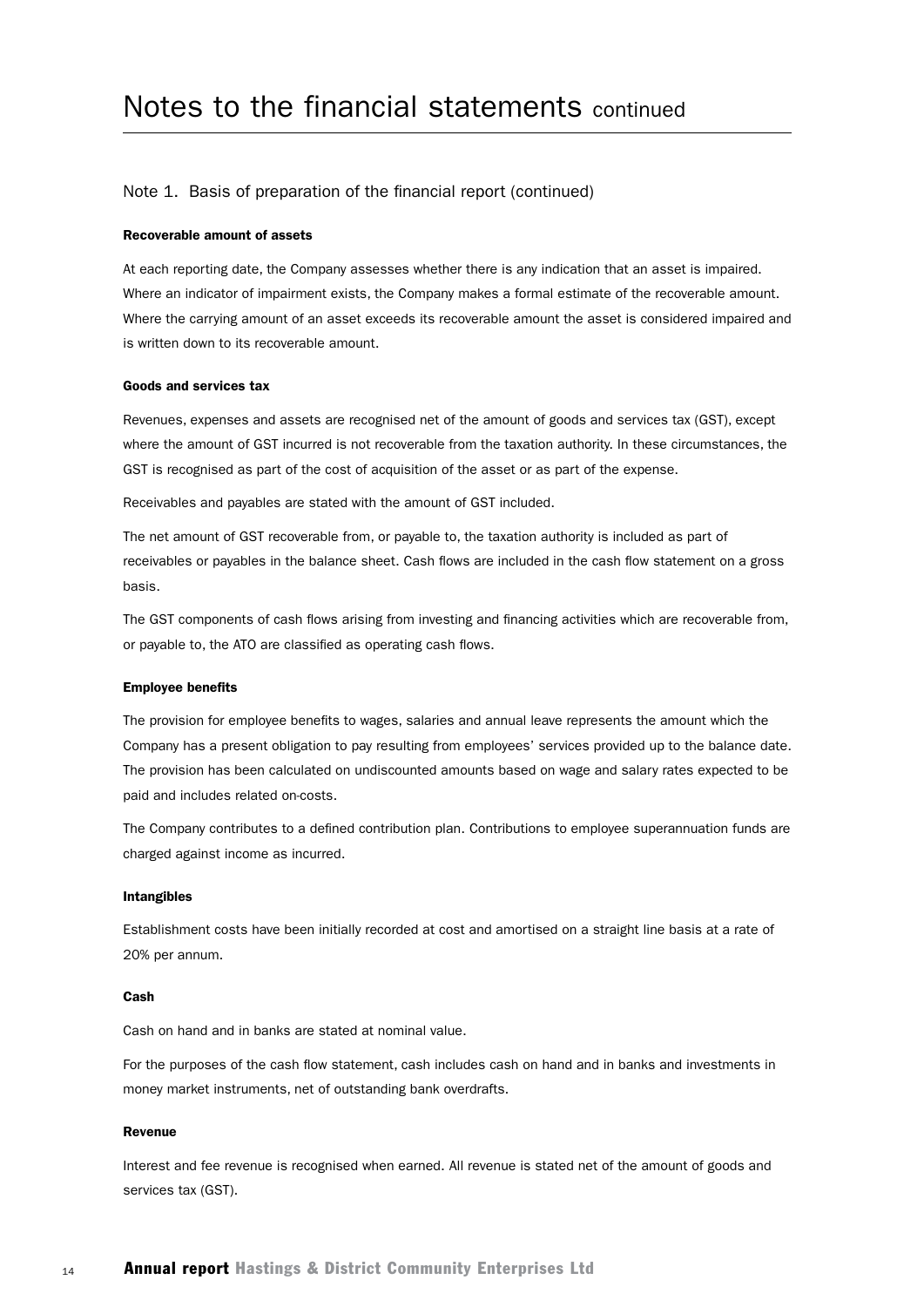#### Note 1. Basis of preparation of the financial report (continued)

#### Recoverable amount of assets

At each reporting date, the Company assesses whether there is any indication that an asset is impaired. Where an indicator of impairment exists, the Company makes a formal estimate of the recoverable amount. Where the carrying amount of an asset exceeds its recoverable amount the asset is considered impaired and is written down to its recoverable amount.

#### Goods and services tax

Revenues, expenses and assets are recognised net of the amount of goods and services tax (GST), except where the amount of GST incurred is not recoverable from the taxation authority. In these circumstances, the GST is recognised as part of the cost of acquisition of the asset or as part of the expense.

Receivables and payables are stated with the amount of GST included.

The net amount of GST recoverable from, or payable to, the taxation authority is included as part of receivables or payables in the balance sheet. Cash flows are included in the cash flow statement on a gross basis.

The GST components of cash flows arising from investing and financing activities which are recoverable from, or payable to, the ATO are classified as operating cash flows.

#### Employee benefits

The provision for employee benefits to wages, salaries and annual leave represents the amount which the Company has a present obligation to pay resulting from employees' services provided up to the balance date. The provision has been calculated on undiscounted amounts based on wage and salary rates expected to be paid and includes related on-costs.

The Company contributes to a defined contribution plan. Contributions to employee superannuation funds are charged against income as incurred.

#### Intangibles

Establishment costs have been initially recorded at cost and amortised on a straight line basis at a rate of 20% per annum.

#### Cash

Cash on hand and in banks are stated at nominal value.

For the purposes of the cash flow statement, cash includes cash on hand and in banks and investments in money market instruments, net of outstanding bank overdrafts.

#### Revenue

Interest and fee revenue is recognised when earned. All revenue is stated net of the amount of goods and services tax (GST).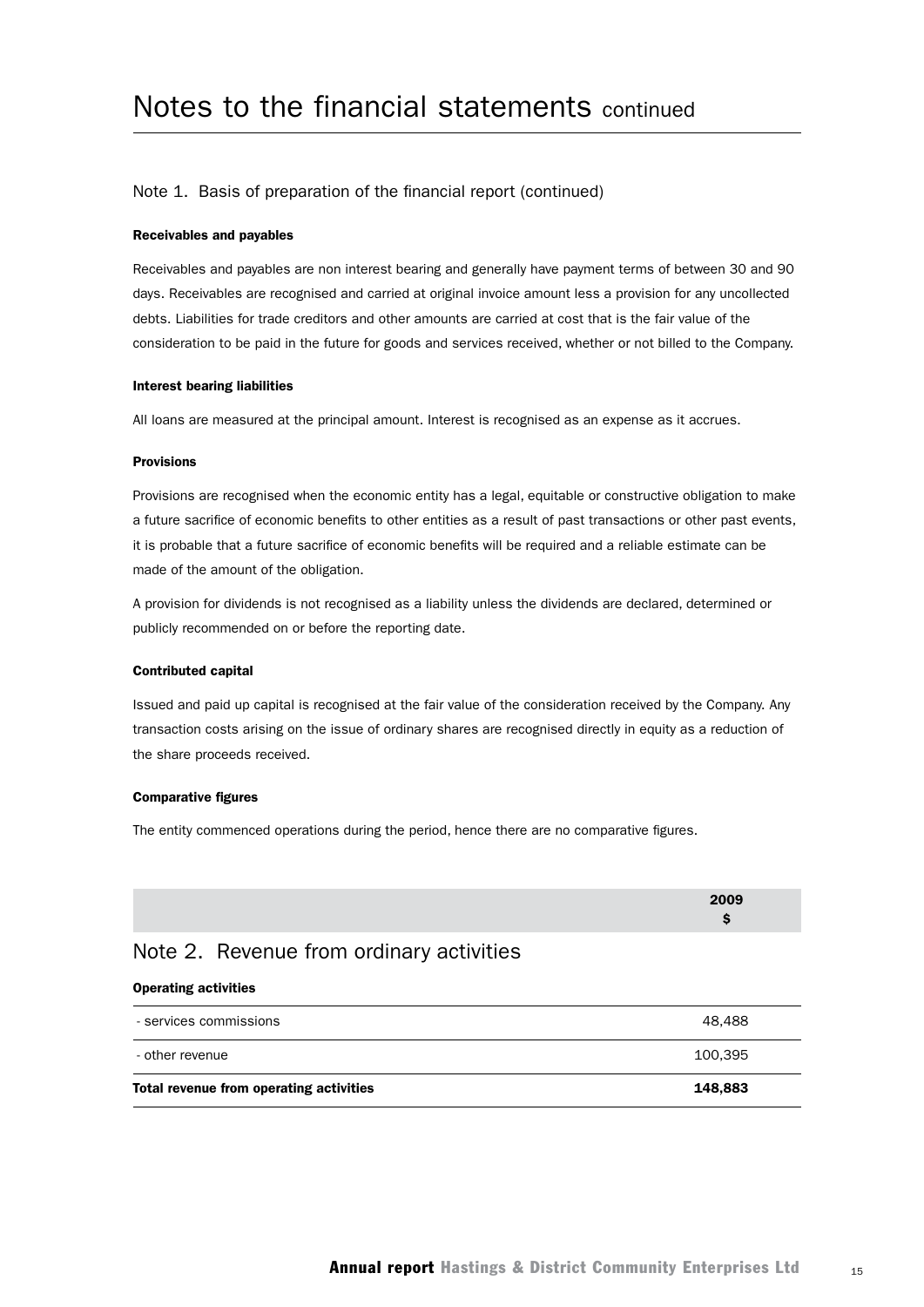#### Note 1. Basis of preparation of the financial report (continued)

#### Receivables and payables

Receivables and payables are non interest bearing and generally have payment terms of between 30 and 90 days. Receivables are recognised and carried at original invoice amount less a provision for any uncollected debts. Liabilities for trade creditors and other amounts are carried at cost that is the fair value of the consideration to be paid in the future for goods and services received, whether or not billed to the Company.

#### Interest bearing liabilities

All loans are measured at the principal amount. Interest is recognised as an expense as it accrues.

#### Provisions

Provisions are recognised when the economic entity has a legal, equitable or constructive obligation to make a future sacrifice of economic benefits to other entities as a result of past transactions or other past events, it is probable that a future sacrifice of economic benefits will be required and a reliable estimate can be made of the amount of the obligation.

A provision for dividends is not recognised as a liability unless the dividends are declared, determined or publicly recommended on or before the reporting date.

#### Contributed capital

Issued and paid up capital is recognised at the fair value of the consideration received by the Company. Any transaction costs arising on the issue of ordinary shares are recognised directly in equity as a reduction of the share proceeds received.

#### Comparative figures

The entity commenced operations during the period, hence there are no comparative figures.

| 2009 |
|------|
|      |

#### Note 2. Revenue from ordinary activities

#### Operating activities

| Total revenue from operating activities<br>148.883 |  |
|----------------------------------------------------|--|
| 100.395<br>- other revenue                         |  |
| 48.488<br>- services commissions                   |  |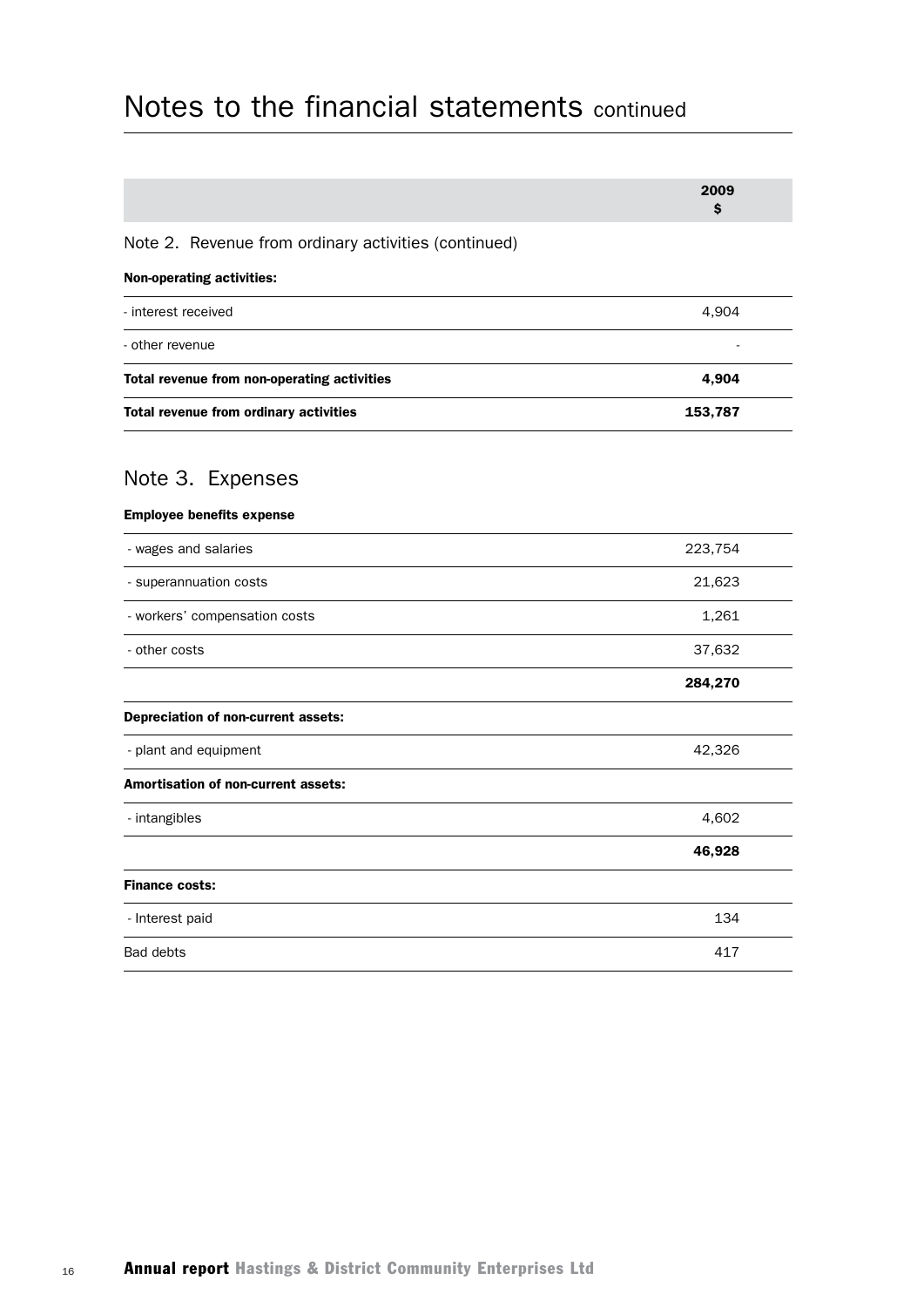|                                                      | 2009<br>\$ |  |
|------------------------------------------------------|------------|--|
| Note 2. Revenue from ordinary activities (continued) |            |  |
| <b>Non-operating activities:</b>                     |            |  |
| - interest received                                  | 4,904      |  |
| - other revenue                                      |            |  |
| Total revenue from non-operating activities          | 4,904      |  |
| Total revenue from ordinary activities               | 153,787    |  |
| Note 3. Expenses                                     |            |  |
| <b>Employee benefits expense</b>                     |            |  |
| - wages and salaries                                 | 223,754    |  |
| - superannuation costs                               | 21,623     |  |
| - workers' compensation costs                        | 1,261      |  |
| - other costs                                        | 37,632     |  |
|                                                      | 284,270    |  |
| Depreciation of non-current assets:                  |            |  |
| - plant and equipment                                | 42,326     |  |
| <b>Amortisation of non-current assets:</b>           |            |  |
| - intangibles                                        | 4,602      |  |
|                                                      | 46,928     |  |
| <b>Finance costs:</b>                                |            |  |
| - Interest paid                                      | 134        |  |
| <b>Bad debts</b>                                     | 417        |  |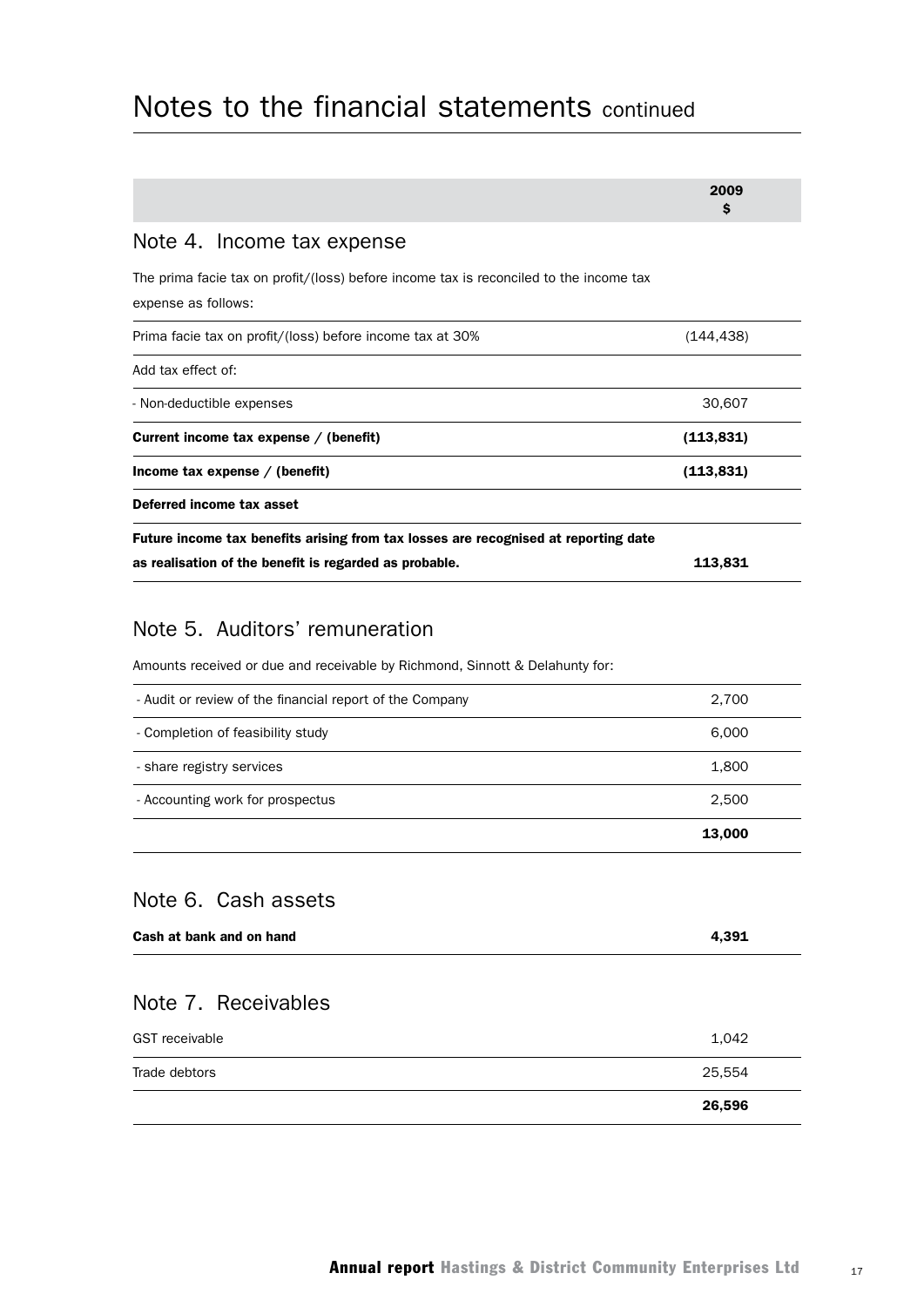|                                                                                                               | 2009<br>Ŝ  |
|---------------------------------------------------------------------------------------------------------------|------------|
| Note 4. Income tax expense                                                                                    |            |
| The prima facie tax on profit/(loss) before income tax is reconciled to the income tax<br>expense as follows: |            |
| Prima facie tax on profit/(loss) before income tax at 30%                                                     | (144, 438) |
| Add tax effect of:                                                                                            |            |
| - Non-deductible expenses                                                                                     | 30,607     |
| Current income tax expense / (benefit)                                                                        | (113, 831) |
| Income tax expense $/$ (benefit)                                                                              | (113, 831) |
| Deferred income tax asset                                                                                     |            |
| Future income tax benefits arising from tax losses are recognised at reporting date                           |            |
| as realisation of the benefit is regarded as probable.                                                        | 113,831    |
|                                                                                                               |            |

#### Note 5. Auditors' remuneration

Amounts received or due and receivable by Richmond, Sinnott & Delahunty for:

|                                                          | 13,000 |
|----------------------------------------------------------|--------|
| - Accounting work for prospectus                         | 2,500  |
| - share registry services                                | 1,800  |
| - Completion of feasibility study                        | 6,000  |
| - Audit or review of the financial report of the Company | 2,700  |

## Note 6. Cash assets

| Cash at bank and on hand | 4,391  |
|--------------------------|--------|
| Note 7. Receivables      |        |
| <b>GST</b> receivable    | 1,042  |
| Trade debtors            | 25,554 |
|                          | 26,596 |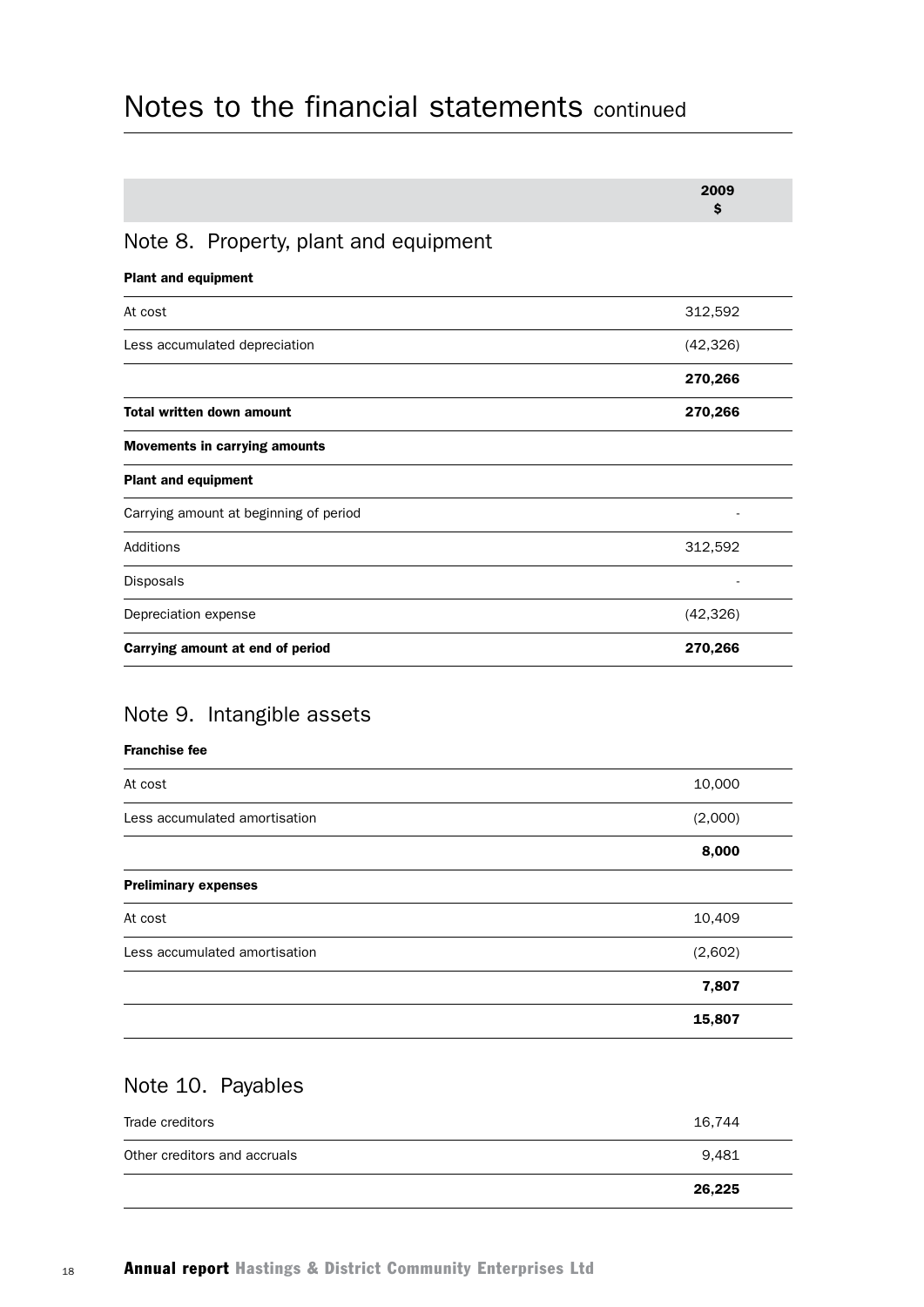|                                        | 2009<br>\$ |
|----------------------------------------|------------|
| Note 8. Property, plant and equipment  |            |
| <b>Plant and equipment</b>             |            |
| At cost                                | 312,592    |
| Less accumulated depreciation          | (42, 326)  |
|                                        | 270,266    |
| <b>Total written down amount</b>       | 270,266    |
| <b>Movements in carrying amounts</b>   |            |
| <b>Plant and equipment</b>             |            |
| Carrying amount at beginning of period |            |
| Additions                              | 312,592    |
| Disposals                              |            |
| Depreciation expense                   | (42, 326)  |
| Carrying amount at end of period       | 270,266    |

## Note 9. Intangible assets

#### Franchise fee

| At cost                       | 10,000  |
|-------------------------------|---------|
| Less accumulated amortisation | (2,000) |
|                               | 8,000   |
| <b>Preliminary expenses</b>   |         |
| At cost                       | 10,409  |
| Less accumulated amortisation | (2,602) |
|                               | 7,807   |
|                               | 15,807  |

## Note 10. Payables

|                              | 26,225 |  |
|------------------------------|--------|--|
| Other creditors and accruals | 9.481  |  |
| Trade creditors              | 16,744 |  |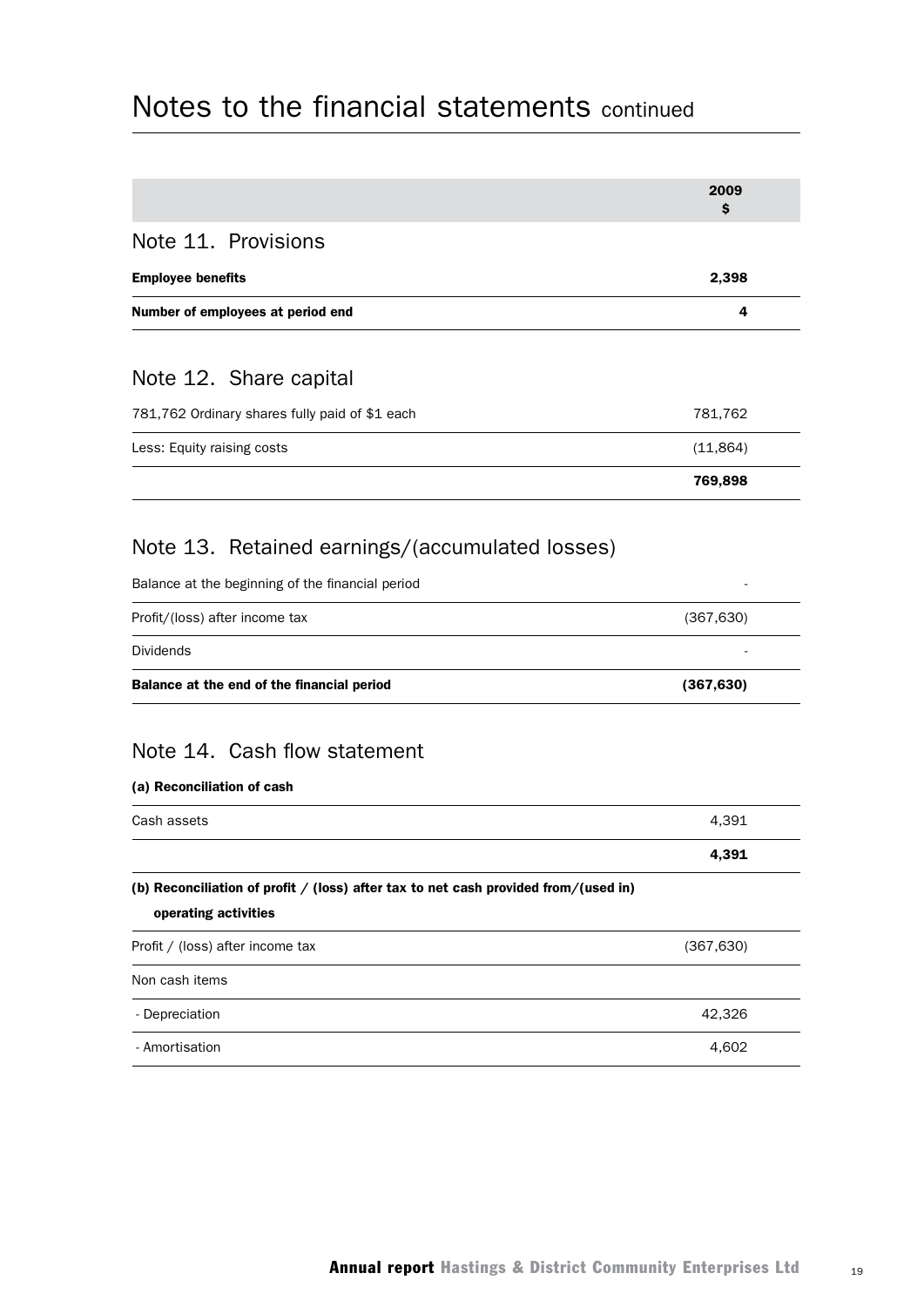|                                                                                                               | 2009<br>\$ |
|---------------------------------------------------------------------------------------------------------------|------------|
| Note 11. Provisions                                                                                           |            |
| <b>Employee benefits</b>                                                                                      | 2,398      |
| Number of employees at period end                                                                             | 4          |
|                                                                                                               |            |
| Note 12. Share capital                                                                                        |            |
| 781,762 Ordinary shares fully paid of \$1 each                                                                | 781,762    |
| Less: Equity raising costs                                                                                    | (11, 864)  |
|                                                                                                               | 769,898    |
|                                                                                                               |            |
| Note 13. Retained earnings/(accumulated losses)                                                               |            |
| Balance at the beginning of the financial period                                                              |            |
| Profit/(loss) after income tax                                                                                | (367, 630) |
| <b>Dividends</b>                                                                                              |            |
| Balance at the end of the financial period                                                                    | (367, 630) |
| Note 14. Cash flow statement<br>(a) Reconciliation of cash                                                    |            |
| Cash assets                                                                                                   | 4,391      |
|                                                                                                               | 4,391      |
| (b) Reconciliation of profit $/$ (loss) after tax to net cash provided from/(used in)<br>operating activities |            |
| Profit / (loss) after income tax                                                                              | (367, 630) |
| Non cash items                                                                                                |            |
| - Depreciation                                                                                                | 42,326     |
| - Amortisation                                                                                                | 4,602      |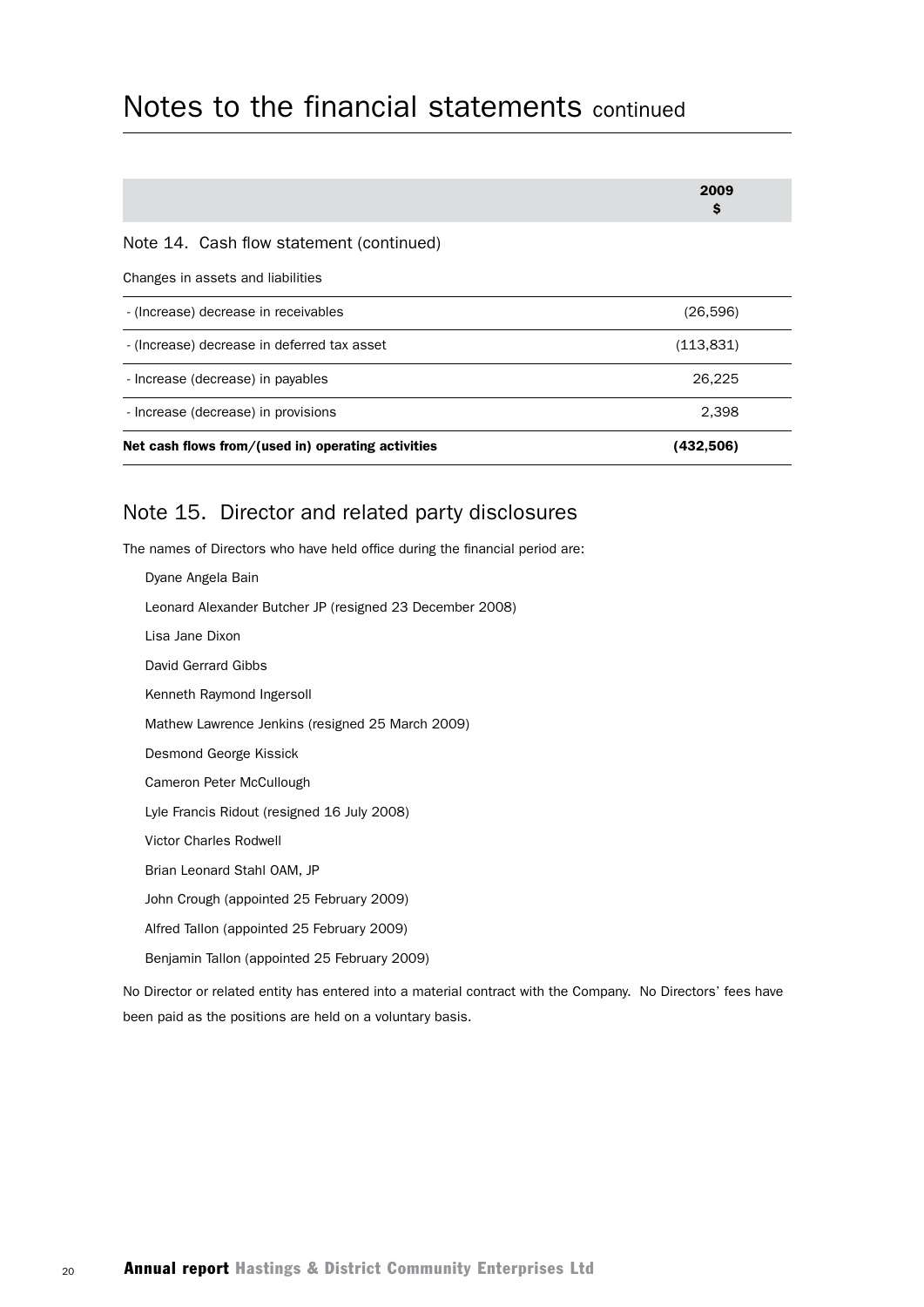|                                                                               | 2009<br>\$ |  |
|-------------------------------------------------------------------------------|------------|--|
| Note 14. Cash flow statement (continued)<br>Changes in assets and liabilities |            |  |
| - (Increase) decrease in receivables                                          | (26,596)   |  |
| - (Increase) decrease in deferred tax asset                                   | (113,831)  |  |
| - Increase (decrease) in payables                                             | 26,225     |  |
| - Increase (decrease) in provisions                                           | 2,398      |  |
| Net cash flows from/(used in) operating activities                            | (432,506)  |  |

## Note 15. Director and related party disclosures

The names of Directors who have held office during the financial period are:

| Dyane Angela Bain                                        |
|----------------------------------------------------------|
| Leonard Alexander Butcher JP (resigned 23 December 2008) |
| Lisa Jane Dixon                                          |
| David Gerrard Gibbs                                      |
| Kenneth Raymond Ingersoll                                |
| Mathew Lawrence Jenkins (resigned 25 March 2009)         |
| Desmond George Kissick                                   |
| Cameron Peter McCullough                                 |
| Lyle Francis Ridout (resigned 16 July 2008)              |
| <b>Victor Charles Rodwell</b>                            |
| Brian Leonard Stahl OAM, JP                              |
| John Crough (appointed 25 February 2009)                 |
| Alfred Tallon (appointed 25 February 2009)               |
| Benjamin Tallon (appointed 25 February 2009)             |
|                                                          |

No Director or related entity has entered into a material contract with the Company. No Directors' fees have been paid as the positions are held on a voluntary basis.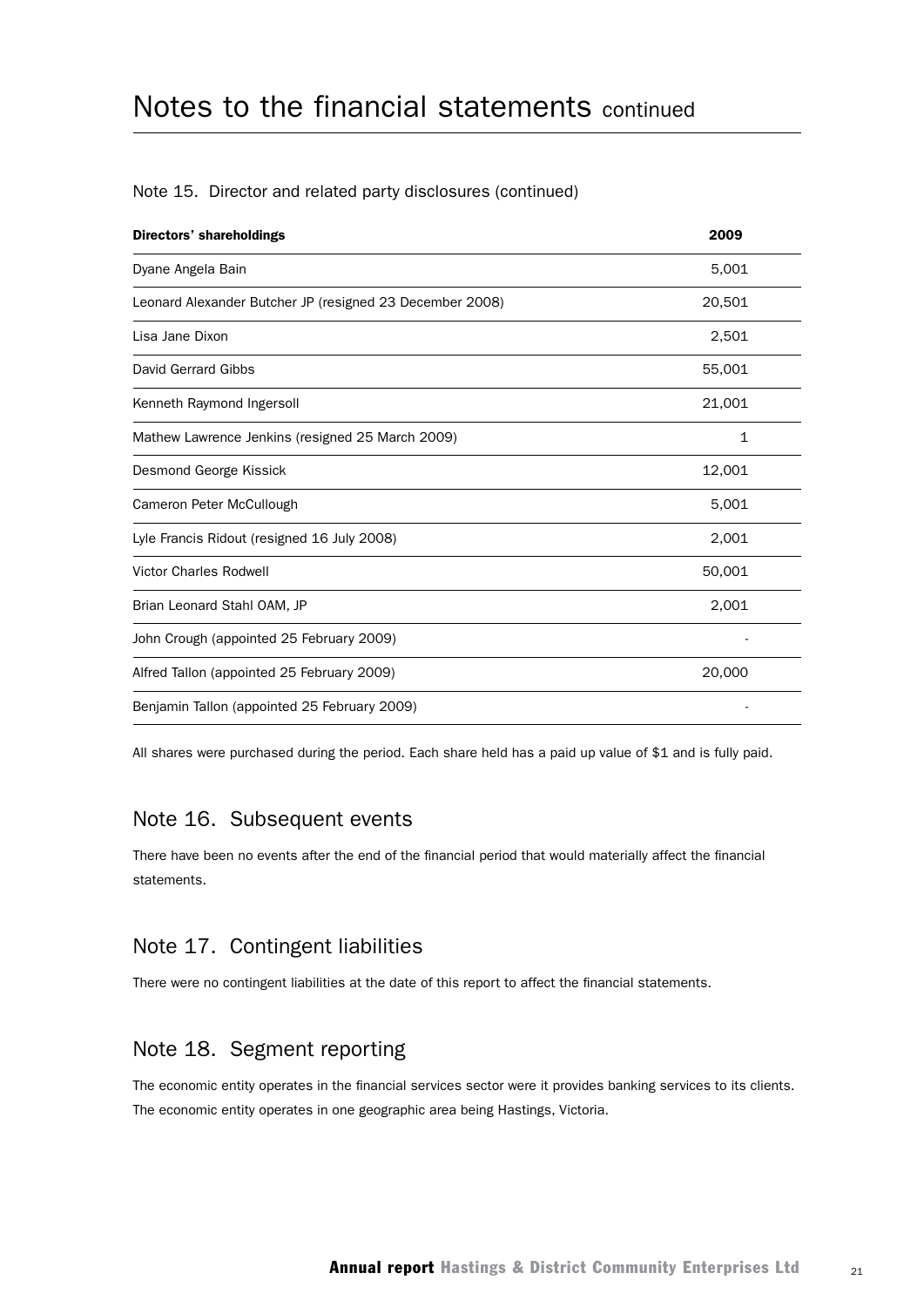| <b>Directors' shareholdings</b>                          | 2009         |
|----------------------------------------------------------|--------------|
| Dyane Angela Bain                                        | 5,001        |
| Leonard Alexander Butcher JP (resigned 23 December 2008) | 20,501       |
| Lisa Jane Dixon                                          | 2,501        |
| David Gerrard Gibbs                                      | 55,001       |
| Kenneth Raymond Ingersoll                                | 21,001       |
| Mathew Lawrence Jenkins (resigned 25 March 2009)         | $\mathbf{1}$ |
| Desmond George Kissick                                   | 12,001       |
| Cameron Peter McCullough                                 | 5,001        |
| Lyle Francis Ridout (resigned 16 July 2008)              | 2,001        |
| <b>Victor Charles Rodwell</b>                            | 50,001       |
| Brian Leonard Stahl OAM, JP                              | 2,001        |
| John Crough (appointed 25 February 2009)                 |              |
| Alfred Tallon (appointed 25 February 2009)               | 20,000       |
| Benjamin Tallon (appointed 25 February 2009)             |              |

#### Note 15. Director and related party disclosures (continued)

All shares were purchased during the period. Each share held has a paid up value of \$1 and is fully paid.

#### Note 16. Subsequent events

There have been no events after the end of the financial period that would materially affect the financial statements.

#### Note 17. Contingent liabilities

There were no contingent liabilities at the date of this report to affect the financial statements.

#### Note 18. Segment reporting

The economic entity operates in the financial services sector were it provides banking services to its clients. The economic entity operates in one geographic area being Hastings, Victoria.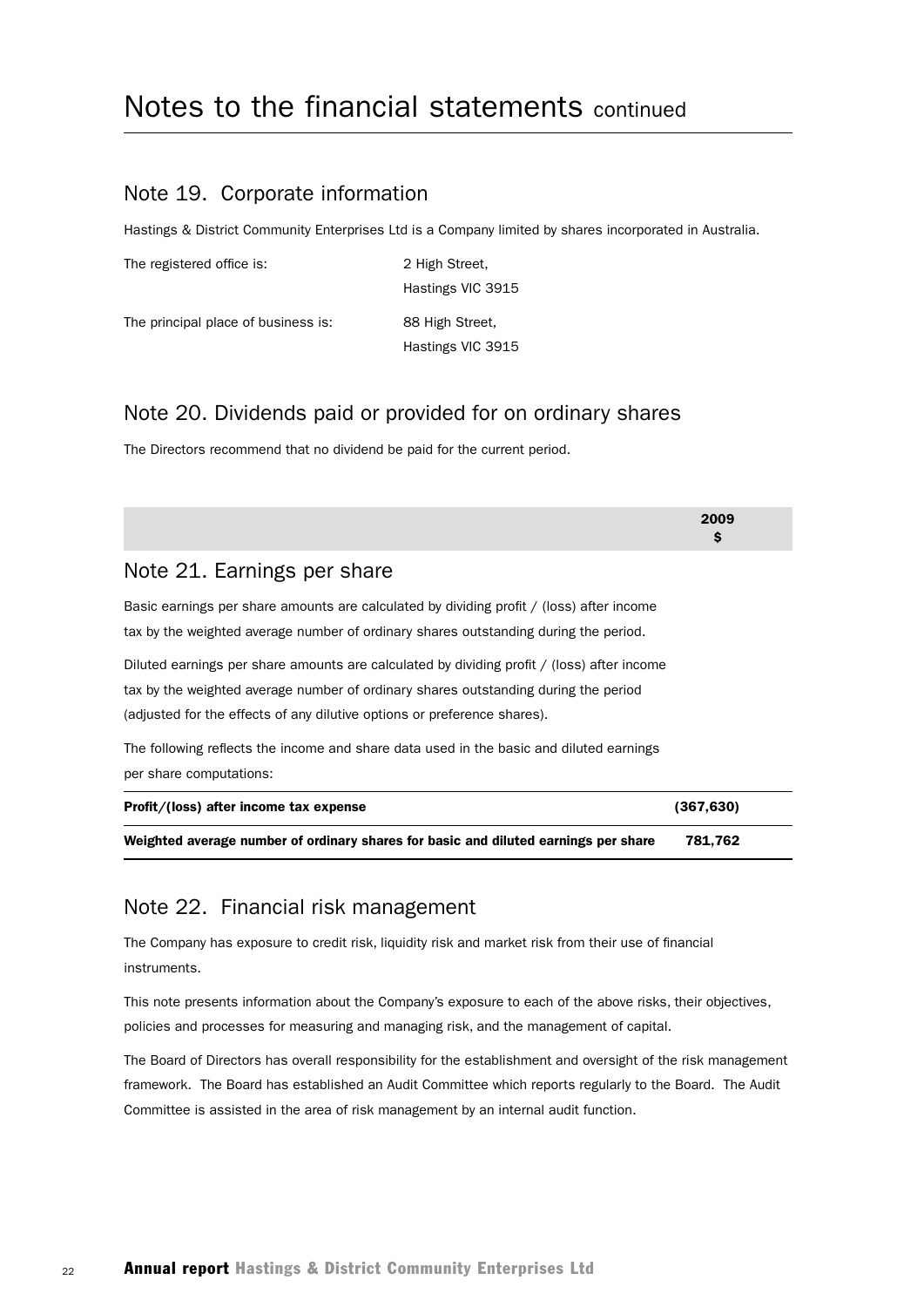#### Note 19. Corporate information

Hastings & District Community Enterprises Ltd is a Company limited by shares incorporated in Australia.

| The registered office is:           | 2 High Street,    |
|-------------------------------------|-------------------|
|                                     | Hastings VIC 3915 |
| The principal place of business is: | 88 High Street,   |
|                                     | Hastings VIC 3915 |

### Note 20. Dividends paid or provided for on ordinary shares

The Directors recommend that no dividend be paid for the current period.

|                                                                                                                                                                                                                                                               | 2009<br>\$ |
|---------------------------------------------------------------------------------------------------------------------------------------------------------------------------------------------------------------------------------------------------------------|------------|
| Note 21. Earnings per share                                                                                                                                                                                                                                   |            |
| Basic earnings per share amounts are calculated by dividing profit / (loss) after income<br>tax by the weighted average number of ordinary shares outstanding during the period.                                                                              |            |
| Diluted earnings per share amounts are calculated by dividing profit / (loss) after income<br>tax by the weighted average number of ordinary shares outstanding during the period<br>(adjusted for the effects of any dilutive options or preference shares). |            |
| The following reflects the income and share data used in the basic and diluted earnings<br>per share computations:                                                                                                                                            |            |
| Profit/(loss) after income tax expense                                                                                                                                                                                                                        | (367,630)  |
| Weighted average number of ordinary shares for basic and diluted earnings per share                                                                                                                                                                           | 781,762    |

#### Note 22. Financial risk management

The Company has exposure to credit risk, liquidity risk and market risk from their use of financial instruments.

This note presents information about the Company's exposure to each of the above risks, their objectives, policies and processes for measuring and managing risk, and the management of capital.

The Board of Directors has overall responsibility for the establishment and oversight of the risk management framework. The Board has established an Audit Committee which reports regularly to the Board. The Audit Committee is assisted in the area of risk management by an internal audit function.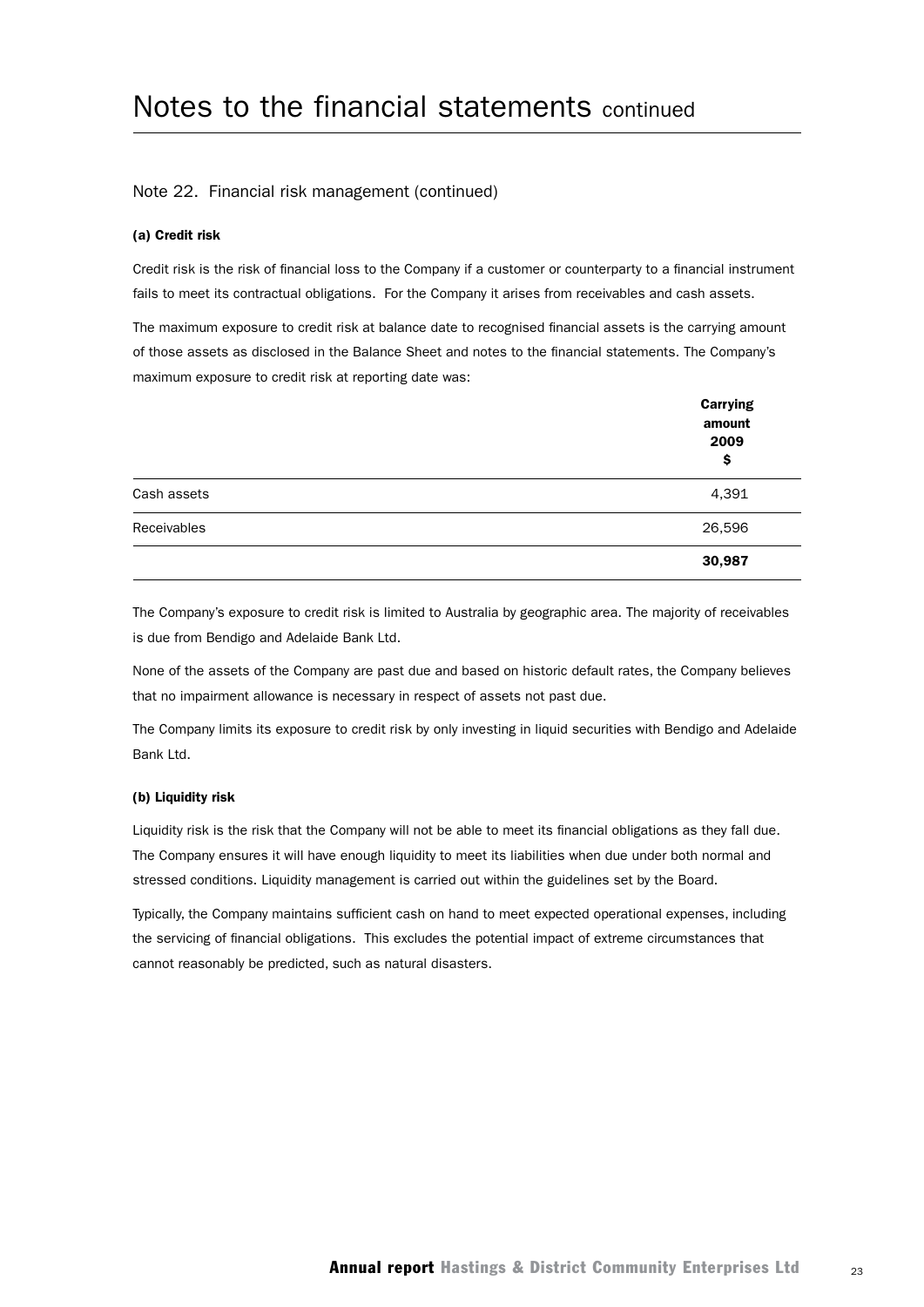#### Note 22. Financial risk management (continued)

#### (a) Credit risk

Credit risk is the risk of financial loss to the Company if a customer or counterparty to a financial instrument fails to meet its contractual obligations. For the Company it arises from receivables and cash assets.

The maximum exposure to credit risk at balance date to recognised financial assets is the carrying amount of those assets as disclosed in the Balance Sheet and notes to the financial statements. The Company's maximum exposure to credit risk at reporting date was:

|             | <b>Carrying</b><br>amount<br>2009<br>\$ |
|-------------|-----------------------------------------|
| Cash assets | 4,391                                   |
| Receivables | 26,596                                  |
|             | 30,987                                  |

The Company's exposure to credit risk is limited to Australia by geographic area. The majority of receivables is due from Bendigo and Adelaide Bank Ltd.

None of the assets of the Company are past due and based on historic default rates, the Company believes that no impairment allowance is necessary in respect of assets not past due.

The Company limits its exposure to credit risk by only investing in liquid securities with Bendigo and Adelaide Bank Ltd.

#### (b) Liquidity risk

Liquidity risk is the risk that the Company will not be able to meet its financial obligations as they fall due. The Company ensures it will have enough liquidity to meet its liabilities when due under both normal and stressed conditions. Liquidity management is carried out within the guidelines set by the Board.

Typically, the Company maintains sufficient cash on hand to meet expected operational expenses, including the servicing of financial obligations. This excludes the potential impact of extreme circumstances that cannot reasonably be predicted, such as natural disasters.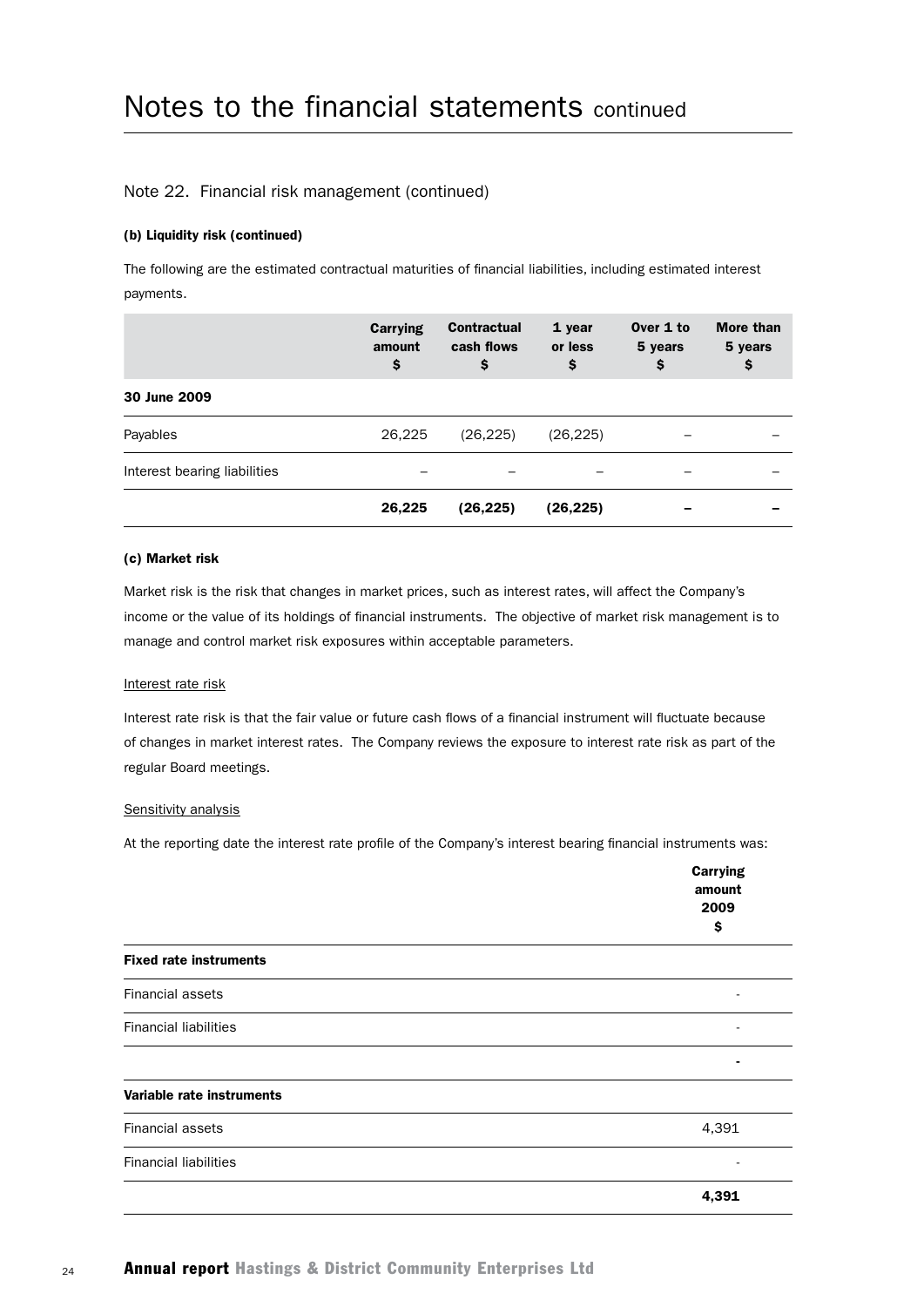#### Note 22. Financial risk management (continued)

#### (b) Liquidity risk (continued)

The following are the estimated contractual maturities of financial liabilities, including estimated interest payments.

|                              | Carrying<br>amount<br>\$ | <b>Contractual</b><br>cash flows<br>\$ | 1 year<br>or less<br>\$ | Over 1 to<br>5 years<br>\$ | More than<br>5 years<br>\$ |
|------------------------------|--------------------------|----------------------------------------|-------------------------|----------------------------|----------------------------|
| 30 June 2009                 |                          |                                        |                         |                            |                            |
| Payables                     | 26,225                   | (26, 225)                              | (26, 225)               |                            |                            |
| Interest bearing liabilities |                          |                                        |                         |                            |                            |
|                              | 26,225                   | (26,225)                               | (26,225)                |                            |                            |

#### (c) Market risk

Market risk is the risk that changes in market prices, such as interest rates, will affect the Company's income or the value of its holdings of financial instruments. The objective of market risk management is to manage and control market risk exposures within acceptable parameters.

#### Interest rate risk

Interest rate risk is that the fair value or future cash flows of a financial instrument will fluctuate because of changes in market interest rates. The Company reviews the exposure to interest rate risk as part of the regular Board meetings.

#### Sensitivity analysis

At the reporting date the interest rate profile of the Company's interest bearing financial instruments was:

|                               | <b>Carrying</b><br>amount<br>2009<br>\$ |
|-------------------------------|-----------------------------------------|
| <b>Fixed rate instruments</b> |                                         |
| Financial assets              |                                         |
| <b>Financial liabilities</b>  |                                         |
|                               |                                         |
| Variable rate instruments     |                                         |
| <b>Financial assets</b>       | 4,391                                   |
| <b>Financial liabilities</b>  |                                         |
|                               | 4,391                                   |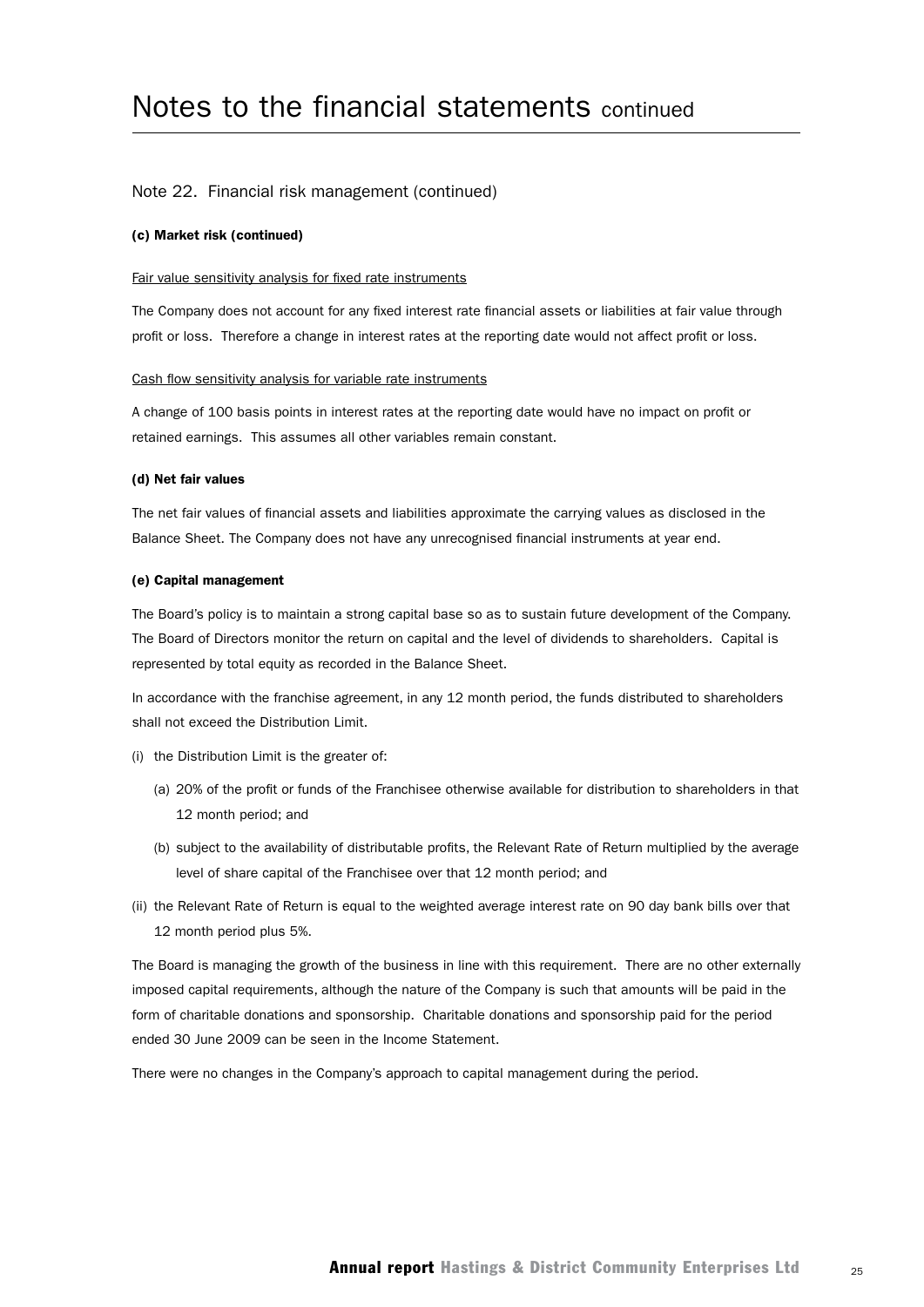#### Note 22. Financial risk management (continued)

#### (c) Market risk (continued)

#### Fair value sensitivity analysis for fixed rate instruments

The Company does not account for any fixed interest rate financial assets or liabilities at fair value through profit or loss. Therefore a change in interest rates at the reporting date would not affect profit or loss.

#### Cash flow sensitivity analysis for variable rate instruments

A change of 100 basis points in interest rates at the reporting date would have no impact on profit or retained earnings. This assumes all other variables remain constant.

#### (d) Net fair values

The net fair values of financial assets and liabilities approximate the carrying values as disclosed in the Balance Sheet. The Company does not have any unrecognised financial instruments at year end.

#### (e) Capital management

The Board's policy is to maintain a strong capital base so as to sustain future development of the Company. The Board of Directors monitor the return on capital and the level of dividends to shareholders. Capital is represented by total equity as recorded in the Balance Sheet.

In accordance with the franchise agreement, in any 12 month period, the funds distributed to shareholders shall not exceed the Distribution Limit.

- (i) the Distribution Limit is the greater of:
	- (a) 20% of the profit or funds of the Franchisee otherwise available for distribution to shareholders in that 12 month period; and
	- (b) subject to the availability of distributable profits, the Relevant Rate of Return multiplied by the average level of share capital of the Franchisee over that 12 month period; and
- (ii) the Relevant Rate of Return is equal to the weighted average interest rate on 90 day bank bills over that 12 month period plus 5%.

The Board is managing the growth of the business in line with this requirement. There are no other externally imposed capital requirements, although the nature of the Company is such that amounts will be paid in the form of charitable donations and sponsorship. Charitable donations and sponsorship paid for the period ended 30 June 2009 can be seen in the Income Statement.

There were no changes in the Company's approach to capital management during the period.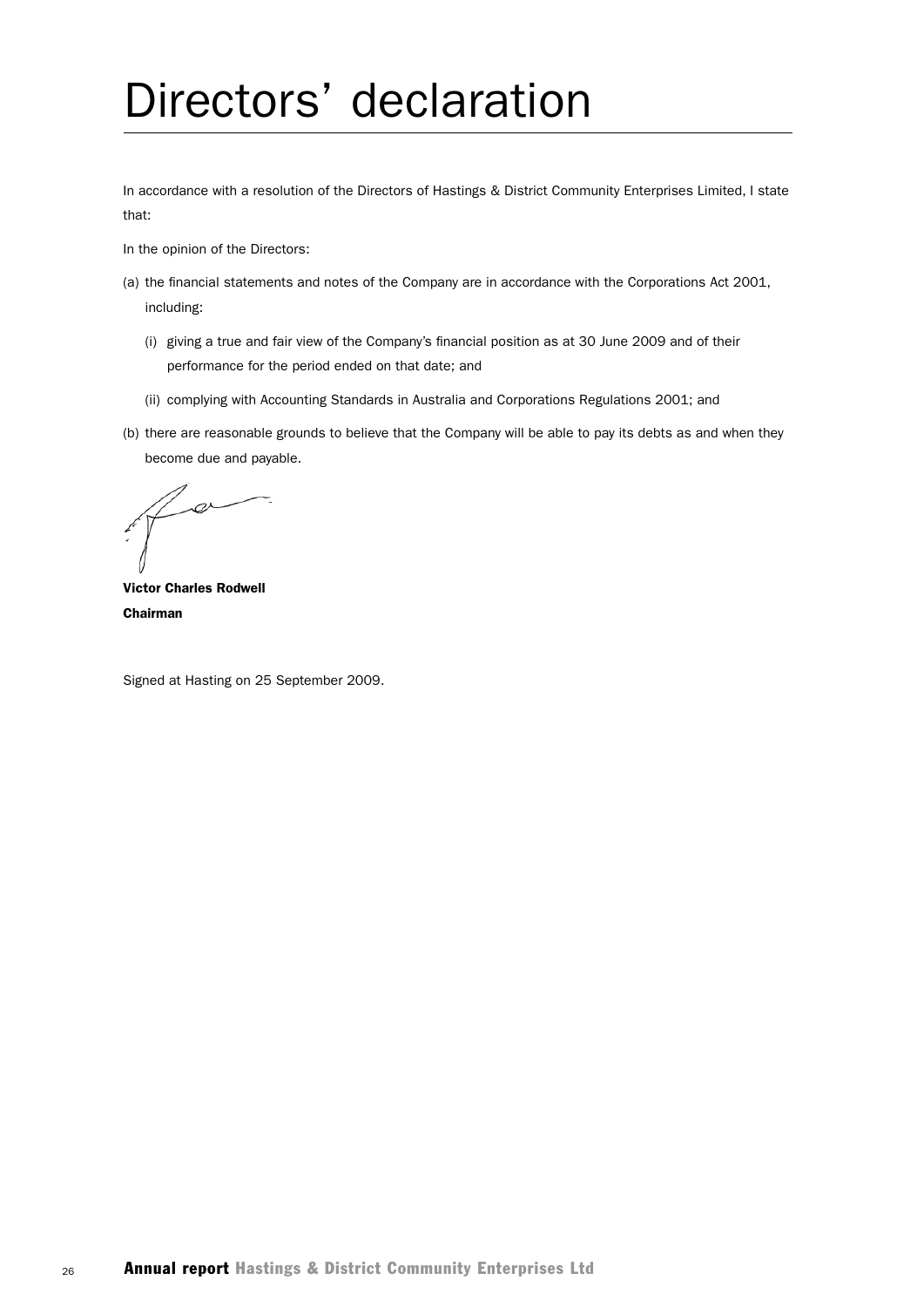# Directors' declaration

In accordance with a resolution of the Directors of Hastings & District Community Enterprises Limited, I state that:

In the opinion of the Directors:

- (a) the financial statements and notes of the Company are in accordance with the Corporations Act 2001, including:
	- (i) giving a true and fair view of the Company's financial position as at 30 June 2009 and of their performance for the period ended on that date; and
	- (ii) complying with Accounting Standards in Australia and Corporations Regulations 2001; and
- (b) there are reasonable grounds to believe that the Company will be able to pay its debts as and when they become due and payable.

 $\alpha$ 

Victor Charles Rodwell Chairman

Signed at Hasting on 25 September 2009.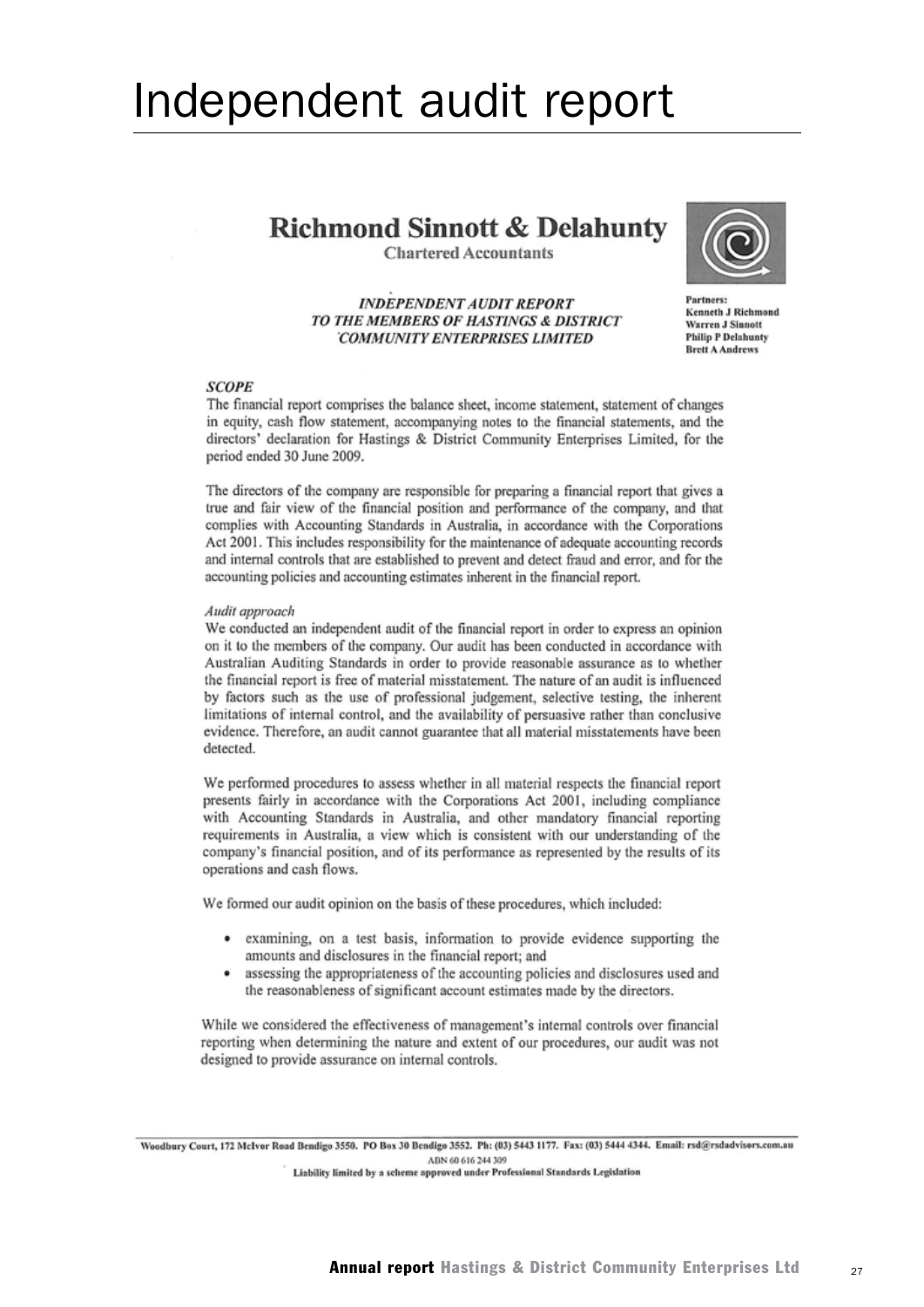## Independent audit report

## **Richmond Sinnott & Delahunty**

**Chartered Accountants** 

**INDEPENDENT AUDIT REPORT** TO THE MEMBERS OF HASTINGS & DISTRICT **COMMUNITY ENTERPRISES LIMITED** 



Partners: Kenneth J Richmond **Warren J Sinnott Philip P Delabunty Brett A Andrews** 

#### **SCOPE**

The financial report comprises the balance sheet, income statement, statement of changes in equity, cash flow statement, accompanying notes to the financial statements, and the directors' declaration for Hastings & District Community Enterprises Limited, for the period ended 30 June 2009.

The directors of the company are responsible for preparing a financial report that gives a true and fair view of the financial position and performance of the company, and that complies with Accounting Standards in Australia, in accordance with the Corporations Act 2001. This includes responsibility for the maintenance of adequate accounting records and internal controls that are established to prevent and detect fraud and error, and for the accounting policies and accounting estimates inherent in the financial report.

#### Audit approach

We conducted an independent audit of the financial report in order to express an opinion on it to the members of the company. Our audit has been conducted in accordance with Australian Auditing Standards in order to provide reasonable assurance as to whether the financial report is free of material misstatement. The nature of an audit is influenced by factors such as the use of professional judgement, selective testing, the inherent limitations of internal control, and the availability of persuasive rather than conclusive evidence. Therefore, an audit cannot guarantee that all material misstatements have been detected.

We performed procedures to assess whether in all material respects the financial report presents fairly in accordance with the Corporations Act 2001, including compliance with Accounting Standards in Australia, and other mandatory financial reporting requirements in Australia, a view which is consistent with our understanding of the company's financial position, and of its performance as represented by the results of its operations and cash flows.

We formed our audit opinion on the basis of these procedures, which included:

- $\bullet$ examining, on a test basis, information to provide evidence supporting the amounts and disclosures in the financial report; and
- assessing the appropriateness of the accounting policies and disclosures used and  $\bullet$ the reasonableness of significant account estimates made by the directors.

While we considered the effectiveness of management's internal controls over financial reporting when determining the nature and extent of our procedures, our audit was not designed to provide assurance on internal controls.

Woodbury Court, 172 McIvor Road Bendigo 3550. PO Box 30 Bendigo 3552. Ph: (03) 5443 1177. Fax: (03) 5444 4344. Email: rsd@rsdadvisors.com.nu ABN 60 616 244 309 Liability limited by a scheme approved under Professional Standards Legislation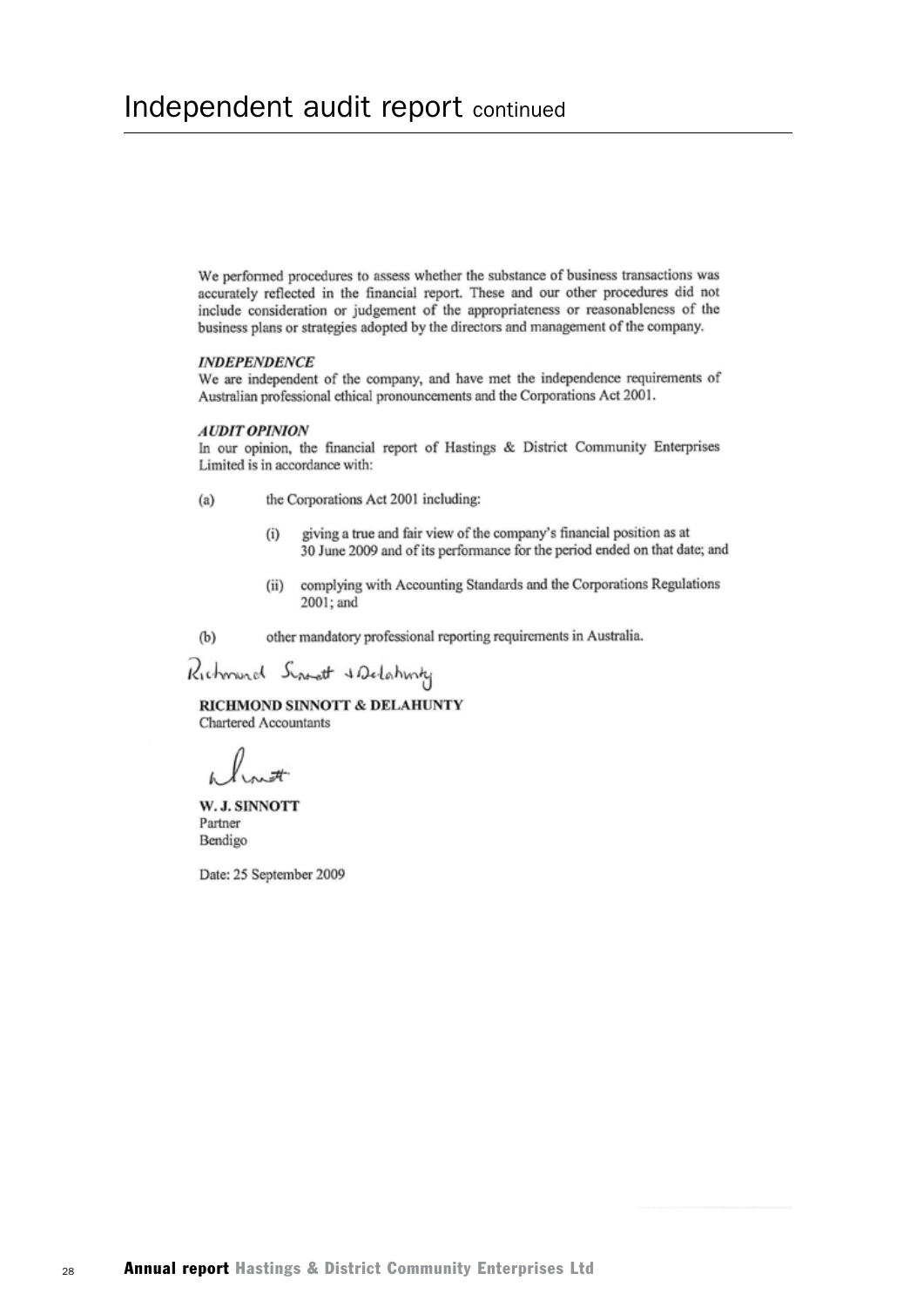We performed procedures to assess whether the substance of business transactions was accurately reflected in the financial report. These and our other procedures did not include consideration or judgement of the appropriateness or reasonableness of the business plans or strategies adopted by the directors and management of the company.

#### **INDEPENDENCE**

We are independent of the company, and have met the independence requirements of Australian professional ethical pronouncements and the Corporations Act 2001.

#### **AUDIT OPINION**

In our opinion, the financial report of Hastings & District Community Enterprises Limited is in accordance with:

- $(a)$ the Corporations Act 2001 including:
	- giving a true and fair view of the company's financial position as at  $(i)$ 30 June 2009 and of its performance for the period ended on that date; and
	- complying with Accounting Standards and the Corporations Regulations  $(ii)$ 2001; and
- other mandatory professional reporting requirements in Australia.  $(b)$

Richmond Singet & Delahmy

RICHMOND SINNOTT & DELAHUNTY Chartered Accountants

W. J. SINNOTT Partner Bendigo

Date: 25 September 2009